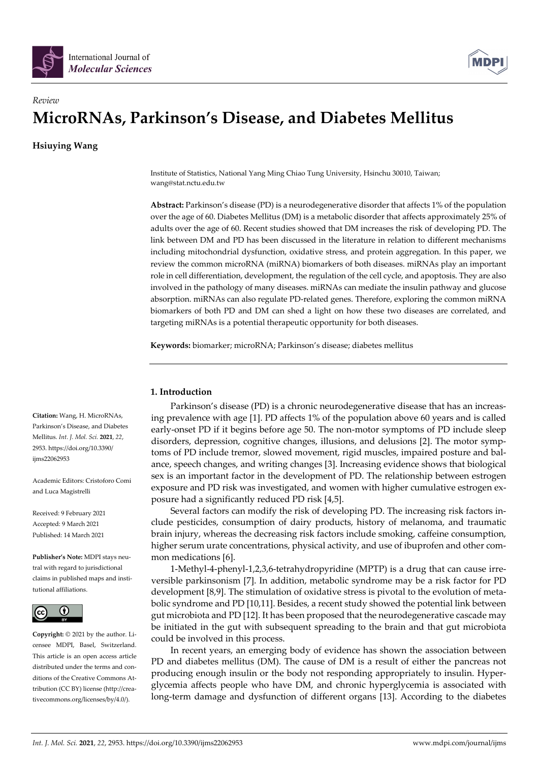



# *Review*  **MicroRNAs, Parkinson's Disease, and Diabetes Mellitus**

**Hsiuying Wang** 

Institute of Statistics, National Yang Ming Chiao Tung University, Hsinchu 30010, Taiwan; wang@stat.nctu.edu.tw

**Abstract:** Parkinson's disease (PD) is a neurodegenerative disorder that affects 1% of the population over the age of 60. Diabetes Mellitus (DM) is a metabolic disorder that affects approximately 25% of adults over the age of 60. Recent studies showed that DM increases the risk of developing PD. The link between DM and PD has been discussed in the literature in relation to different mechanisms including mitochondrial dysfunction, oxidative stress, and protein aggregation. In this paper, we review the common microRNA (miRNA) biomarkers of both diseases. miRNAs play an important role in cell differentiation, development, the regulation of the cell cycle, and apoptosis. They are also involved in the pathology of many diseases. miRNAs can mediate the insulin pathway and glucose absorption. miRNAs can also regulate PD-related genes. Therefore, exploring the common miRNA biomarkers of both PD and DM can shed a light on how these two diseases are correlated, and targeting miRNAs is a potential therapeutic opportunity for both diseases.

**Keywords:** biomarker; microRNA; Parkinson's disease; diabetes mellitus

# **1. Introduction**

Parkinson's disease (PD) is a chronic neurodegenerative disease that has an increasing prevalence with age [1]. PD affects 1% of the population above 60 years and is called early-onset PD if it begins before age 50. The non-motor symptoms of PD include sleep disorders, depression, cognitive changes, illusions, and delusions [2]. The motor symptoms of PD include tremor, slowed movement, rigid muscles, impaired posture and balance, speech changes, and writing changes [3]. Increasing evidence shows that biological sex is an important factor in the development of PD. The relationship between estrogen exposure and PD risk was investigated, and women with higher cumulative estrogen exposure had a significantly reduced PD risk [4,5].

Several factors can modify the risk of developing PD. The increasing risk factors include pesticides, consumption of dairy products, history of melanoma, and traumatic brain injury, whereas the decreasing risk factors include smoking, caffeine consumption, higher serum urate concentrations, physical activity, and use of ibuprofen and other common medications [6].

1-Methyl-4-phenyl-1,2,3,6-tetrahydropyridine (MPTP) is a drug that can cause irreversible parkinsonism [7]. In addition, metabolic syndrome may be a risk factor for PD development [8,9]. The stimulation of oxidative stress is pivotal to the evolution of metabolic syndrome and PD [10,11]. Besides, a recent study showed the potential link between gut microbiota and PD [12]. It has been proposed that the neurodegenerative cascade may be initiated in the gut with subsequent spreading to the brain and that gut microbiota could be involved in this process.

In recent years, an emerging body of evidence has shown the association between PD and diabetes mellitus (DM). The cause of DM is a result of either the pancreas not producing enough insulin or the body not responding appropriately to insulin. Hyperglycemia affects people who have DM, and chronic hyperglycemia is associated with long-term damage and dysfunction of different organs [13]. According to the diabetes

**Citation:** Wang, H. MicroRNAs, Parkinson's Disease, and Diabetes Mellitus. *Int. J. Mol. Sci.* **2021**, *22*, 2953. https://doi.org/10.3390/ ijms22062953

Academic Editors: Cristoforo Comi and Luca Magistrelli

Received: 9 February 2021 Accepted: 9 March 2021 Published: 14 March 2021

**Publisher's Note:** MDPI stays neutral with regard to jurisdictional claims in published maps and institutional affiliations.



**Copyright:** © 2021 by the author. Licensee MDPI, Basel, Switzerland. This article is an open access article distributed under the terms and conditions of the Creative Commons Attribution (CC BY) license (http://creativecommons.org/licenses/by/4.0/).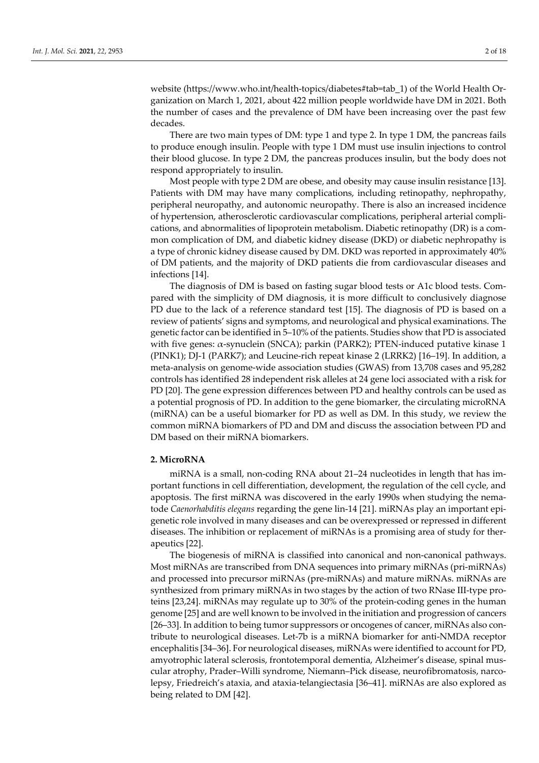website (https://www.who.int/health-topics/diabetes#tab=tab\_1) of the World Health Organization on March 1, 2021, about 422 million people worldwide have DM in 2021. Both the number of cases and the prevalence of DM have been increasing over the past few decades.

There are two main types of DM: type 1 and type 2. In type 1 DM, the pancreas fails to produce enough insulin. People with type 1 DM must use insulin injections to control their blood glucose. In type 2 DM, the pancreas produces insulin, but the body does not respond appropriately to insulin.

Most people with type 2 DM are obese, and obesity may cause insulin resistance [13]. Patients with DM may have many complications, including retinopathy, nephropathy, peripheral neuropathy, and autonomic neuropathy. There is also an increased incidence of hypertension, atherosclerotic cardiovascular complications, peripheral arterial complications, and abnormalities of lipoprotein metabolism. Diabetic retinopathy (DR) is a common complication of DM, and diabetic kidney disease (DKD) or diabetic nephropathy is a type of chronic kidney disease caused by DM. DKD was reported in approximately 40% of DM patients, and the majority of DKD patients die from cardiovascular diseases and infections [14].

The diagnosis of DM is based on fasting sugar blood tests or A1c blood tests. Compared with the simplicity of DM diagnosis, it is more difficult to conclusively diagnose PD due to the lack of a reference standard test [15]. The diagnosis of PD is based on a review of patients' signs and symptoms, and neurological and physical examinations. The genetic factor can be identified in 5–10% of the patients. Studies show that PD is associated with five genes: α-synuclein (SNCA); parkin (PARK2); PTEN-induced putative kinase 1 (PINK1); DJ-1 (PARK7); and Leucine-rich repeat kinase 2 (LRRK2) [16–19]. In addition, a meta-analysis on genome-wide association studies (GWAS) from 13,708 cases and 95,282 controls has identified 28 independent risk alleles at 24 gene loci associated with a risk for PD [20]. The gene expression differences between PD and healthy controls can be used as a potential prognosis of PD. In addition to the gene biomarker, the circulating microRNA (miRNA) can be a useful biomarker for PD as well as DM. In this study, we review the common miRNA biomarkers of PD and DM and discuss the association between PD and DM based on their miRNA biomarkers.

## **2. MicroRNA**

miRNA is a small, non-coding RNA about 21–24 nucleotides in length that has important functions in cell differentiation, development, the regulation of the cell cycle, and apoptosis. The first miRNA was discovered in the early 1990s when studying the nematode *Caenorhabditis elegans* regarding the gene lin-14 [21]. miRNAs play an important epigenetic role involved in many diseases and can be overexpressed or repressed in different diseases. The inhibition or replacement of miRNAs is a promising area of study for therapeutics [22].

The biogenesis of miRNA is classified into canonical and non-canonical pathways. Most miRNAs are transcribed from DNA sequences into primary miRNAs (pri-miRNAs) and processed into precursor miRNAs (pre-miRNAs) and mature miRNAs. miRNAs are synthesized from primary miRNAs in two stages by the action of two RNase III-type proteins [23,24]. miRNAs may regulate up to 30% of the protein-coding genes in the human genome [25] and are well known to be involved in the initiation and progression of cancers [26–33]. In addition to being tumor suppressors or oncogenes of cancer, miRNAs also contribute to neurological diseases. Let-7b is a miRNA biomarker for anti-NMDA receptor encephalitis [34–36]. For neurological diseases, miRNAs were identified to account for PD, amyotrophic lateral sclerosis, frontotemporal dementia, Alzheimer's disease, spinal muscular atrophy, Prader–Willi syndrome, Niemann–Pick disease, neurofibromatosis, narcolepsy, Friedreich's ataxia, and ataxia-telangiectasia [36–41]. miRNAs are also explored as being related to DM [42].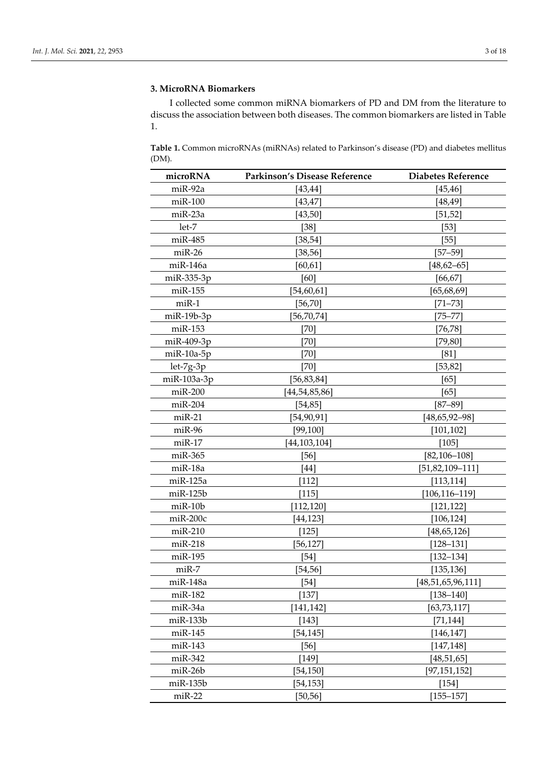## **3. MicroRNA Biomarkers**

I collected some common miRNA biomarkers of PD and DM from the literature to discuss the association between both diseases. The common biomarkers are listed in Table 1.

**Table 1.** Common microRNAs (miRNAs) related to Parkinson's disease (PD) and diabetes mellitus (DM).

| microRNA       | Parkinson's Disease Reference | Diabetes Reference    |
|----------------|-------------------------------|-----------------------|
| miR-92a        | [43, 44]                      | [45, 46]              |
| $miR-100$      | [43, 47]                      | [48, 49]              |
| miR-23a        | [43, 50]                      | [51, 52]              |
| let-7          | $[38]$                        | $[53]$                |
| miR-485        | [38, 54]                      | [55]                  |
| $miR-26$       | [38, 56]                      | $[57 - 59]$           |
| $miR-146a$     | [60, 61]                      | $[48, 62 - 65]$       |
| miR-335-3p     | [60]                          | [66, 67]              |
| $miR-155$      | [54, 60, 61]                  | [65, 68, 69]          |
| $miR-1$        | [56,70]                       | $[71 - 73]$           |
| $miR-19b-3p$   | [56,70,74]                    | [75–77]               |
| miR-153        | $[70]$                        | [76, 78]              |
| miR-409-3p     | $[70]$                        | [79, 80]              |
| $miR-10a-5p$   | [70]                          | [81]                  |
| $let-7g-3p$    | $[70]$                        | [53, 82]              |
| miR-103a-3p    | [56, 83, 84]                  | [65]                  |
| $miR-200$      | [44, 54, 85, 86]              | [65]                  |
| $miR-204$      | [54, 85]                      | $[87 - 89]$           |
| $miR-21$       | [54,90,91]                    | $[48, 65, 92 - 98]$   |
| $miR-96$       | [99, 100]                     | [101, 102]            |
| $miR-17$       | [44, 103, 104]                | $[105]$               |
| miR-365        | $[56]$                        | $[82, 106 - 108]$     |
| miR-18a        | [44]                          | [51,82,109–111]       |
| $miR-125a$     | [112]                         | [113, 114]            |
| $miR-125b$     | [115]                         | $[106, 116 - 119]$    |
| $m$ i $R-10b$  | [112,120]                     | [121, 122]            |
| miR-200c       | [44, 123]                     | [106, 124]            |
| $miR-210$      | [125]                         | [48, 65, 126]         |
| $miR-218$      | [56,127]                      | $[128 - 131]$         |
| miR-195        | $[54]$                        | $[132 - 134]$         |
| $miR-7$        | [54, 56]                      | [135, 136]            |
| $miR-148a$     | $[54]$                        | [48, 51, 65, 96, 111] |
| miR-182        | $[137]$                       | $[138 - 140]$         |
| miR-34a        | [141, 142]                    | [63, 73, 117]         |
| miR-133b       | $[143]$                       | [71, 144]             |
| $miR-145$      | [54, 145]                     | [146, 147]            |
| miR-143        | $[56]$                        | [147, 148]            |
| $miR-342$      | $[149]$                       | [48, 51, 65]          |
| $m$ i $R-26b$  | [54, 150]                     | [97, 151, 152]        |
| $m$ i $R-135b$ | [54, 153]                     | $[154]$               |
| $miR-22$       | [50, 56]                      | $[155 - 157]$         |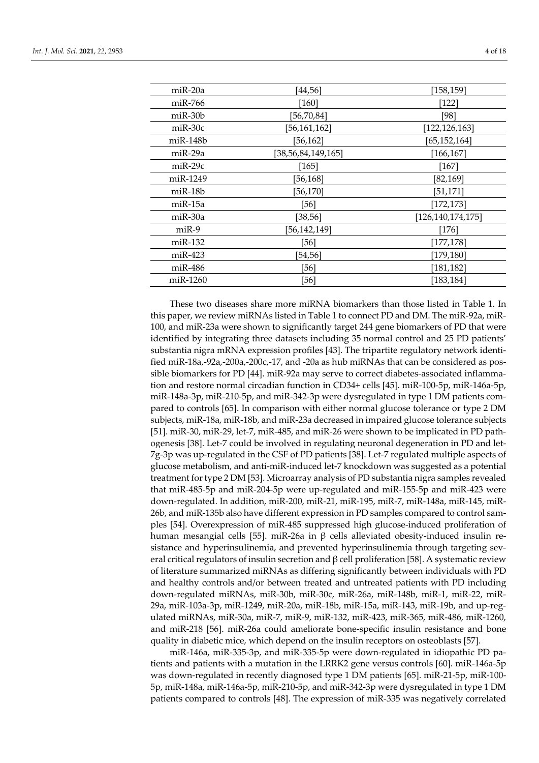| miR-20a   | [44, 56]           | [158, 159]           |
|-----------|--------------------|----------------------|
| miR-766   | $[160]$            | [122]                |
| miR-30b   | [56,70,84]         | [98]                 |
| $miR-30c$ | [56,161,162]       | [122, 126, 163]      |
| miR-148b  | [56, 162]          | [65, 152, 164]       |
| miR-29a   | [38,56,84,149,165] | [166, 167]           |
| $miR-29c$ | [165]              | [167]                |
| miR-1249  | [56, 168]          | [82, 169]            |
| miR-18b   | [56, 170]          | [51,171]             |
| miR-15a   | [56]               | [172, 173]           |
| miR-30a   | [38, 56]           | [126, 140, 174, 175] |
| $miR-9$   | [56,142,149]       | [176]                |
| $miR-132$ | [56]               | [177, 178]           |
| miR-423   | [54,56]            | [179, 180]           |
| miR-486   | $[56]$             | [181, 182]           |
| miR-1260  | [56]               | [183, 184]           |

These two diseases share more miRNA biomarkers than those listed in Table 1. In this paper, we review miRNAs listed in Table 1 to connect PD and DM. The miR-92a, miR-100, and miR-23a were shown to significantly target 244 gene biomarkers of PD that were identified by integrating three datasets including 35 normal control and 25 PD patients' substantia nigra mRNA expression profiles [43]. The tripartite regulatory network identified miR-18a,-92a,-200a,-200c,-17, and -20a as hub miRNAs that can be considered as possible biomarkers for PD [44]. miR-92a may serve to correct diabetes-associated inflammation and restore normal circadian function in CD34+ cells [45]. miR-100-5p, miR-146a-5p, miR-148a-3p, miR-210-5p, and miR-342-3p were dysregulated in type 1 DM patients compared to controls [65]. In comparison with either normal glucose tolerance or type 2 DM subjects, miR-18a, miR-18b, and miR-23a decreased in impaired glucose tolerance subjects [51]. miR-30, miR-29, let-7, miR-485, and miR-26 were shown to be implicated in PD pathogenesis [38]. Let-7 could be involved in regulating neuronal degeneration in PD and let-7g-3p was up-regulated in the CSF of PD patients [38]. Let-7 regulated multiple aspects of glucose metabolism, and anti-miR-induced let-7 knockdown was suggested as a potential treatment for type 2 DM [53]. Microarray analysis of PD substantia nigra samples revealed that miR-485-5p and miR-204-5p were up-regulated and miR-155-5p and miR-423 were down-regulated. In addition, miR-200, miR-21, miR-195, miR-7, miR-148a, miR-145, miR-26b, and miR-135b also have different expression in PD samples compared to control samples [54]. Overexpression of miR-485 suppressed high glucose-induced proliferation of human mesangial cells [55]. miR-26a in β cells alleviated obesity-induced insulin resistance and hyperinsulinemia, and prevented hyperinsulinemia through targeting several critical regulators of insulin secretion and  $\beta$  cell proliferation [58]. A systematic review of literature summarized miRNAs as differing significantly between individuals with PD and healthy controls and/or between treated and untreated patients with PD including down-regulated miRNAs, miR-30b, miR-30c, miR-26a, miR-148b, miR-1, miR-22, miR-29a, miR-103a-3p, miR-1249, miR-20a, miR-18b, miR-15a, miR-143, miR-19b, and up-regulated miRNAs, miR-30a, miR-7, miR-9, miR-132, miR-423, miR-365, miR-486, miR-1260, and miR-218 [56]. miR-26a could ameliorate bone-specific insulin resistance and bone quality in diabetic mice, which depend on the insulin receptors on osteoblasts [57].

miR-146a, miR-335-3p, and miR-335-5p were down-regulated in idiopathic PD patients and patients with a mutation in the LRRK2 gene versus controls [60]. miR-146a-5p was down-regulated in recently diagnosed type 1 DM patients [65]. miR-21-5p, miR-100- 5p, miR-148a, miR-146a-5p, miR-210-5p, and miR-342-3p were dysregulated in type 1 DM patients compared to controls [48]. The expression of miR-335 was negatively correlated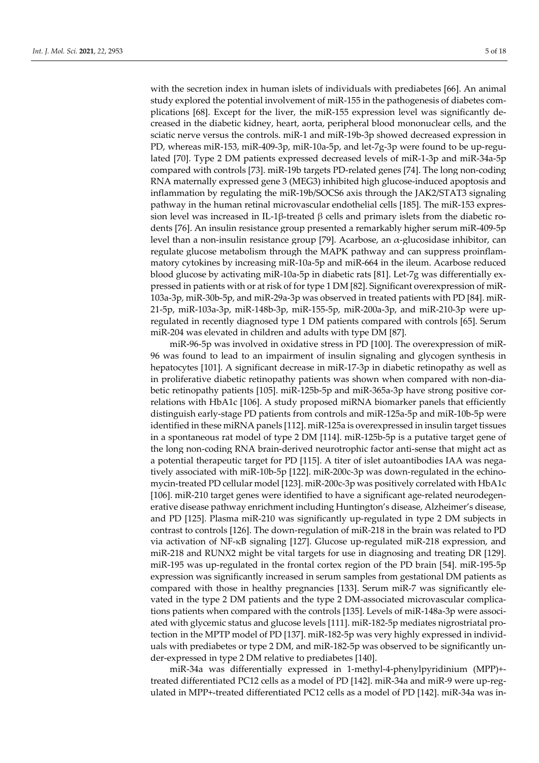with the secretion index in human islets of individuals with prediabetes [66]. An animal study explored the potential involvement of miR-155 in the pathogenesis of diabetes complications [68]. Except for the liver, the miR-155 expression level was significantly decreased in the diabetic kidney, heart, aorta, peripheral blood mononuclear cells, and the sciatic nerve versus the controls. miR-1 and miR-19b-3p showed decreased expression in PD, whereas miR-153, miR-409-3p, miR-10a-5p, and let-7g-3p were found to be up-regulated [70]. Type 2 DM patients expressed decreased levels of miR-1-3p and miR-34a-5p compared with controls [73]. miR-19b targets PD-related genes [74]. The long non-coding RNA maternally expressed gene 3 (MEG3) inhibited high glucose-induced apoptosis and inflammation by regulating the miR-19b/SOCS6 axis through the JAK2/STAT3 signaling pathway in the human retinal microvascular endothelial cells [185]. The miR-153 expression level was increased in IL-1β-treated β cells and primary islets from the diabetic rodents [76]. An insulin resistance group presented a remarkably higher serum miR-409-5p level than a non-insulin resistance group [79]. Acarbose, an  $α$ -glucosidase inhibitor, can regulate glucose metabolism through the MAPK pathway and can suppress proinflammatory cytokines by increasing miR-10a-5p and miR-664 in the ileum. Acarbose reduced blood glucose by activating miR-10a-5p in diabetic rats [81]. Let-7g was differentially expressed in patients with or at risk of for type 1 DM [82]. Significant overexpression of miR-103a-3p, miR-30b-5p, and miR-29a-3p was observed in treated patients with PD [84]. miR-21-5p, miR-103a-3p, miR-148b-3p, miR-155-5p, miR-200a-3p, and miR-210-3p were upregulated in recently diagnosed type 1 DM patients compared with controls [65]. Serum miR-204 was elevated in children and adults with type DM [87].

miR-96-5p was involved in oxidative stress in PD [100]. The overexpression of miR-96 was found to lead to an impairment of insulin signaling and glycogen synthesis in hepatocytes [101]. A significant decrease in miR-17-3p in diabetic retinopathy as well as in proliferative diabetic retinopathy patients was shown when compared with non-diabetic retinopathy patients [105]. miR-125b-5p and miR-365a-3p have strong positive correlations with HbA1c [106]. A study proposed miRNA biomarker panels that efficiently distinguish early-stage PD patients from controls and miR-125a-5p and miR-10b-5p were identified in these miRNA panels [112]. miR-125a is overexpressed in insulin target tissues in a spontaneous rat model of type 2 DM [114]. miR-125b-5p is a putative target gene of the long non-coding RNA brain-derived neurotrophic factor anti-sense that might act as a potential therapeutic target for PD [115]. A titer of islet autoantibodies IAA was negatively associated with miR-10b-5p [122]. miR-200c-3p was down-regulated in the echinomycin-treated PD cellular model [123]. miR-200c-3p was positively correlated with HbA1c [106]. miR-210 target genes were identified to have a significant age-related neurodegenerative disease pathway enrichment including Huntington's disease, Alzheimer's disease, and PD [125]. Plasma miR-210 was significantly up-regulated in type 2 DM subjects in contrast to controls [126]. The down-regulation of miR-218 in the brain was related to PD via activation of NF-κB signaling [127]. Glucose up-regulated miR-218 expression, and miR-218 and RUNX2 might be vital targets for use in diagnosing and treating DR [129]. miR-195 was up-regulated in the frontal cortex region of the PD brain [54]. miR-195-5p expression was significantly increased in serum samples from gestational DM patients as compared with those in healthy pregnancies [133]. Serum miR-7 was significantly elevated in the type 2 DM patients and the type 2 DM-associated microvascular complications patients when compared with the controls [135]. Levels of miR-148a-3p were associated with glycemic status and glucose levels [111]. miR-182-5p mediates nigrostriatal protection in the MPTP model of PD [137]. miR-182-5p was very highly expressed in individuals with prediabetes or type 2 DM, and miR-182-5p was observed to be significantly under-expressed in type 2 DM relative to prediabetes [140].

miR-34a was differentially expressed in 1-methyl-4-phenylpyridinium (MPP)+ treated differentiated PC12 cells as a model of PD [142]. miR-34a and miR-9 were up-regulated in MPP+-treated differentiated PC12 cells as a model of PD [142]. miR-34a was in-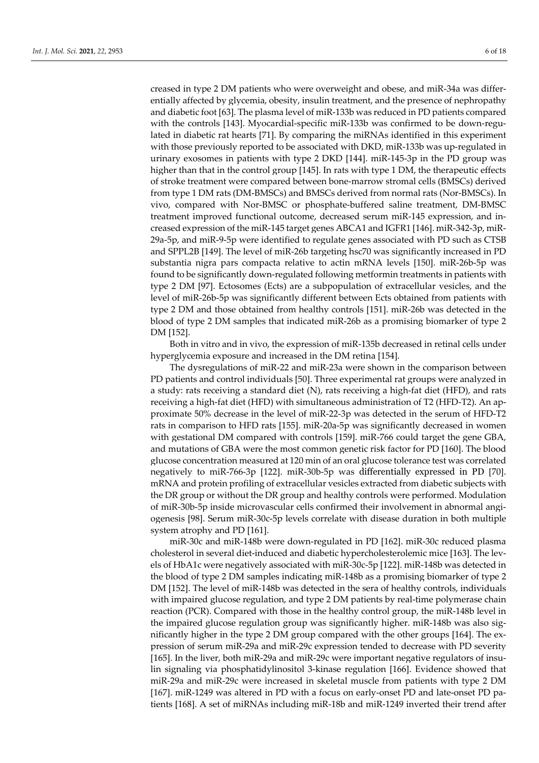creased in type 2 DM patients who were overweight and obese, and miR-34a was differentially affected by glycemia, obesity, insulin treatment, and the presence of nephropathy and diabetic foot [63]. The plasma level of miR-133b was reduced in PD patients compared with the controls [143]. Myocardial-specific miR-133b was confirmed to be down-regulated in diabetic rat hearts [71]. By comparing the miRNAs identified in this experiment with those previously reported to be associated with DKD, miR-133b was up-regulated in urinary exosomes in patients with type 2 DKD [144]. miR-145-3p in the PD group was higher than that in the control group [145]. In rats with type 1 DM, the therapeutic effects of stroke treatment were compared between bone-marrow stromal cells (BMSCs) derived from type 1 DM rats (DM-BMSCs) and BMSCs derived from normal rats (Nor-BMSCs). In vivo, compared with Nor-BMSC or phosphate-buffered saline treatment, DM-BMSC treatment improved functional outcome, decreased serum miR-145 expression, and increased expression of the miR-145 target genes ABCA1 and IGFR1 [146]. miR-342-3p, miR-29a-5p, and miR-9-5p were identified to regulate genes associated with PD such as CTSB and SPPL2B [149]. The level of miR-26b targeting hsc70 was significantly increased in PD substantia nigra pars compacta relative to actin mRNA levels [150]. miR-26b-5p was found to be significantly down-regulated following metformin treatments in patients with type 2 DM [97]. Ectosomes (Ects) are a subpopulation of extracellular vesicles, and the level of miR-26b-5p was significantly different between Ects obtained from patients with type 2 DM and those obtained from healthy controls [151]. miR-26b was detected in the blood of type 2 DM samples that indicated miR-26b as a promising biomarker of type 2 DM [152].

Both in vitro and in vivo, the expression of miR-135b decreased in retinal cells under hyperglycemia exposure and increased in the DM retina [154].

The dysregulations of miR-22 and miR-23a were shown in the comparison between PD patients and control individuals [50]. Three experimental rat groups were analyzed in a study: rats receiving a standard diet (N), rats receiving a high-fat diet (HFD), and rats receiving a high-fat diet (HFD) with simultaneous administration of T2 (HFD-T2). An approximate 50% decrease in the level of miR-22-3p was detected in the serum of HFD-T2 rats in comparison to HFD rats [155]. miR-20a-5p was significantly decreased in women with gestational DM compared with controls [159]. miR-766 could target the gene GBA, and mutations of GBA were the most common genetic risk factor for PD [160]. The blood glucose concentration measured at 120 min of an oral glucose tolerance test was correlated negatively to miR-766-3p [122]. miR-30b-5p was differentially expressed in PD [70]. mRNA and protein profiling of extracellular vesicles extracted from diabetic subjects with the DR group or without the DR group and healthy controls were performed. Modulation of miR-30b-5p inside microvascular cells confirmed their involvement in abnormal angiogenesis [98]. Serum miR-30c-5p levels correlate with disease duration in both multiple system atrophy and PD [161].

miR-30c and miR-148b were down-regulated in PD [162]. miR-30c reduced plasma cholesterol in several diet-induced and diabetic hypercholesterolemic mice [163]. The levels of HbA1c were negatively associated with miR-30c-5p [122]. miR-148b was detected in the blood of type 2 DM samples indicating miR-148b as a promising biomarker of type 2 DM [152]. The level of miR-148b was detected in the sera of healthy controls, individuals with impaired glucose regulation, and type 2 DM patients by real-time polymerase chain reaction (PCR). Compared with those in the healthy control group, the miR-148b level in the impaired glucose regulation group was significantly higher. miR-148b was also significantly higher in the type 2 DM group compared with the other groups [164]. The expression of serum miR-29a and miR-29c expression tended to decrease with PD severity [165]. In the liver, both miR-29a and miR-29c were important negative regulators of insulin signaling via phosphatidylinositol 3-kinase regulation [166]. Evidence showed that miR-29a and miR-29c were increased in skeletal muscle from patients with type 2 DM [167]. miR-1249 was altered in PD with a focus on early-onset PD and late-onset PD patients [168]. A set of miRNAs including miR-18b and miR-1249 inverted their trend after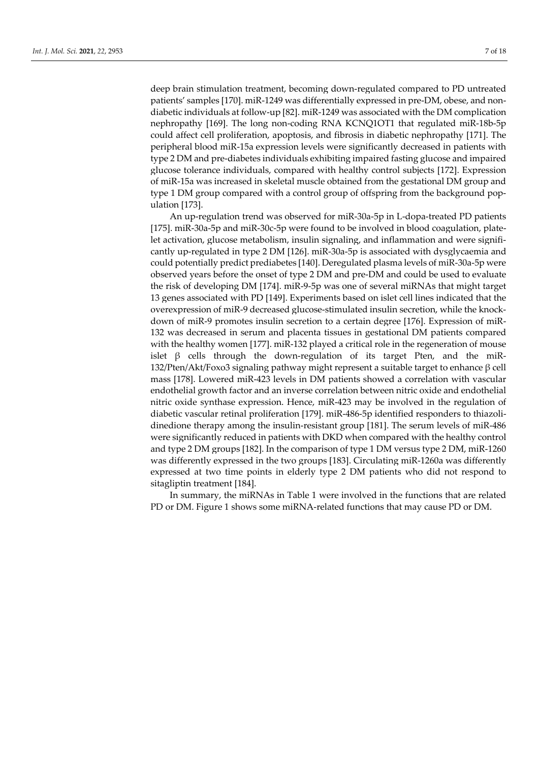deep brain stimulation treatment, becoming down-regulated compared to PD untreated patients' samples [170]. miR-1249 was differentially expressed in pre-DM, obese, and nondiabetic individuals at follow-up [82]. miR-1249 was associated with the DM complication nephropathy [169]. The long non-coding RNA KCNQ1OT1 that regulated miR-18b-5p could affect cell proliferation, apoptosis, and fibrosis in diabetic nephropathy [171]. The peripheral blood miR-15a expression levels were significantly decreased in patients with type 2 DM and pre-diabetes individuals exhibiting impaired fasting glucose and impaired glucose tolerance individuals, compared with healthy control subjects [172]. Expression of miR-15a was increased in skeletal muscle obtained from the gestational DM group and type 1 DM group compared with a control group of offspring from the background population [173].

An up-regulation trend was observed for miR-30a-5p in L-dopa-treated PD patients [175]. miR-30a-5p and miR-30c-5p were found to be involved in blood coagulation, platelet activation, glucose metabolism, insulin signaling, and inflammation and were significantly up-regulated in type 2 DM [126]. miR-30a-5p is associated with dysglycaemia and could potentially predict prediabetes [140]. Deregulated plasma levels of miR-30a-5p were observed years before the onset of type 2 DM and pre-DM and could be used to evaluate the risk of developing DM [174]. miR-9-5p was one of several miRNAs that might target 13 genes associated with PD [149]. Experiments based on islet cell lines indicated that the overexpression of miR-9 decreased glucose-stimulated insulin secretion, while the knockdown of miR-9 promotes insulin secretion to a certain degree [176]. Expression of miR-132 was decreased in serum and placenta tissues in gestational DM patients compared with the healthy women [177]. miR-132 played a critical role in the regeneration of mouse islet  $\beta$  cells through the down-regulation of its target Pten, and the miR-132/Pten/Akt/Foxo3 signaling pathway might represent a suitable target to enhance β cell mass [178]. Lowered miR-423 levels in DM patients showed a correlation with vascular endothelial growth factor and an inverse correlation between nitric oxide and endothelial nitric oxide synthase expression. Hence, miR-423 may be involved in the regulation of diabetic vascular retinal proliferation [179]. miR-486-5p identified responders to thiazolidinedione therapy among the insulin-resistant group [181]. The serum levels of miR-486 were significantly reduced in patients with DKD when compared with the healthy control and type 2 DM groups [182]. In the comparison of type 1 DM versus type 2 DM, miR-1260 was differently expressed in the two groups [183]. Circulating miR-1260a was differently expressed at two time points in elderly type 2 DM patients who did not respond to sitagliptin treatment [184].

In summary, the miRNAs in Table 1 were involved in the functions that are related PD or DM. Figure 1 shows some miRNA-related functions that may cause PD or DM.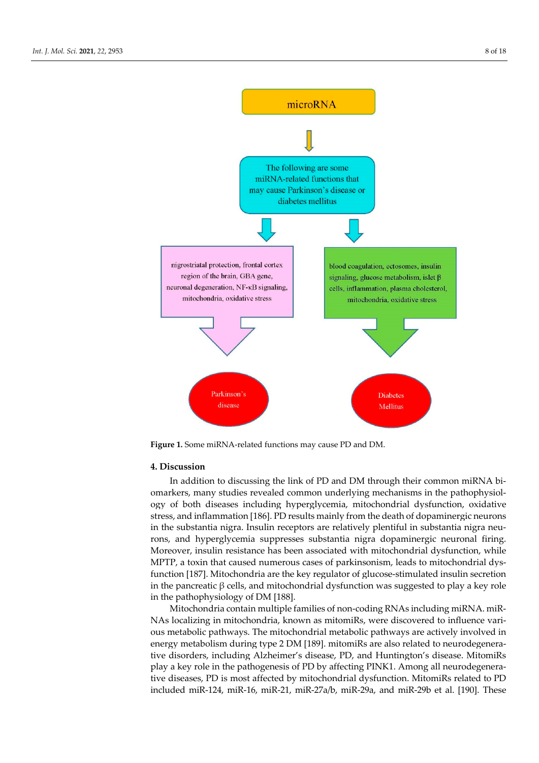

**Figure 1.** Some miRNA-related functions may cause PD and DM.

#### **4. Discussion**

In addition to discussing the link of PD and DM through their common miRNA biomarkers, many studies revealed common underlying mechanisms in the pathophysiology of both diseases including hyperglycemia, mitochondrial dysfunction, oxidative stress, and inflammation [186]. PD results mainly from the death of dopaminergic neurons in the substantia nigra. Insulin receptors are relatively plentiful in substantia nigra neurons, and hyperglycemia suppresses substantia nigra dopaminergic neuronal firing. Moreover, insulin resistance has been associated with mitochondrial dysfunction, while MPTP, a toxin that caused numerous cases of parkinsonism, leads to mitochondrial dysfunction [187]. Mitochondria are the key regulator of glucose-stimulated insulin secretion in the pancreatic β cells, and mitochondrial dysfunction was suggested to play a key role in the pathophysiology of DM [188].

Mitochondria contain multiple families of non-coding RNAs including miRNA. miR-NAs localizing in mitochondria, known as mitomiRs, were discovered to influence various metabolic pathways. The mitochondrial metabolic pathways are actively involved in energy metabolism during type 2 DM [189]. mitomiRs are also related to neurodegenerative disorders, including Alzheimer's disease, PD, and Huntington's disease. MitomiRs play a key role in the pathogenesis of PD by affecting PINK1. Among all neurodegenerative diseases, PD is most affected by mitochondrial dysfunction. MitomiRs related to PD included miR-124, miR-16, miR-21, miR-27a/b, miR-29a, and miR-29b et al. [190]. These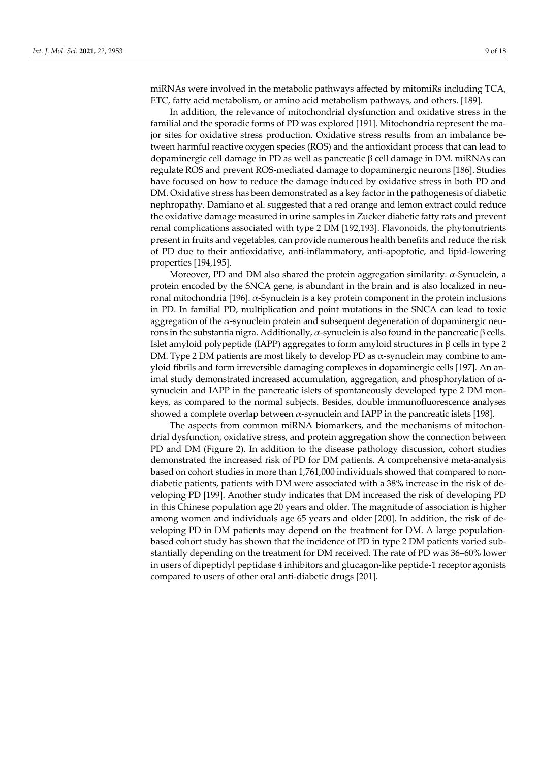miRNAs were involved in the metabolic pathways affected by mitomiRs including TCA, ETC, fatty acid metabolism, or amino acid metabolism pathways, and others. [189].

In addition, the relevance of mitochondrial dysfunction and oxidative stress in the familial and the sporadic forms of PD was explored [191]. Mitochondria represent the major sites for oxidative stress production. Oxidative stress results from an imbalance between harmful reactive oxygen species (ROS) and the antioxidant process that can lead to dopaminergic cell damage in PD as well as pancreatic β cell damage in DM. miRNAs can regulate ROS and prevent ROS-mediated damage to dopaminergic neurons [186]. Studies have focused on how to reduce the damage induced by oxidative stress in both PD and DM. Oxidative stress has been demonstrated as a key factor in the pathogenesis of diabetic nephropathy. Damiano et al. suggested that a red orange and lemon extract could reduce the oxidative damage measured in urine samples in Zucker diabetic fatty rats and prevent renal complications associated with type 2 DM [192,193]. Flavonoids, the phytonutrients present in fruits and vegetables, can provide numerous health benefits and reduce the risk of PD due to their antioxidative, anti-inflammatory, anti-apoptotic, and lipid-lowering properties [194,195].

Moreover, PD and DM also shared the protein aggregation similarity. α-Synuclein, a protein encoded by the SNCA gene, is abundant in the brain and is also localized in neuronal mitochondria [196]. α-Synuclein is a key protein component in the protein inclusions in PD. In familial PD, multiplication and point mutations in the SNCA can lead to toxic aggregation of the  $\alpha$ -synuclein protein and subsequent degeneration of dopaminergic neurons in the substantia nigra. Additionally,  $\alpha$ -synuclein is also found in the pancreatic β cells. Islet amyloid polypeptide (IAPP) aggregates to form amyloid structures in β cells in type 2 DM. Type 2 DM patients are most likely to develop PD as  $\alpha$ -synuclein may combine to amyloid fibrils and form irreversible damaging complexes in dopaminergic cells [197]. An animal study demonstrated increased accumulation, aggregation, and phosphorylation of  $\alpha$ synuclein and IAPP in the pancreatic islets of spontaneously developed type 2 DM monkeys, as compared to the normal subjects. Besides, double immunofluorescence analyses showed a complete overlap between  $\alpha$ -synuclein and IAPP in the pancreatic islets [198].

The aspects from common miRNA biomarkers, and the mechanisms of mitochondrial dysfunction, oxidative stress, and protein aggregation show the connection between PD and DM (Figure 2). In addition to the disease pathology discussion, cohort studies demonstrated the increased risk of PD for DM patients. A comprehensive meta-analysis based on cohort studies in more than 1,761,000 individuals showed that compared to nondiabetic patients, patients with DM were associated with a 38% increase in the risk of developing PD [199]. Another study indicates that DM increased the risk of developing PD in this Chinese population age 20 years and older. The magnitude of association is higher among women and individuals age 65 years and older [200]. In addition, the risk of developing PD in DM patients may depend on the treatment for DM. A large populationbased cohort study has shown that the incidence of PD in type 2 DM patients varied substantially depending on the treatment for DM received. The rate of PD was 36–60% lower in users of dipeptidyl peptidase 4 inhibitors and glucagon-like peptide-1 receptor agonists compared to users of other oral anti-diabetic drugs [201].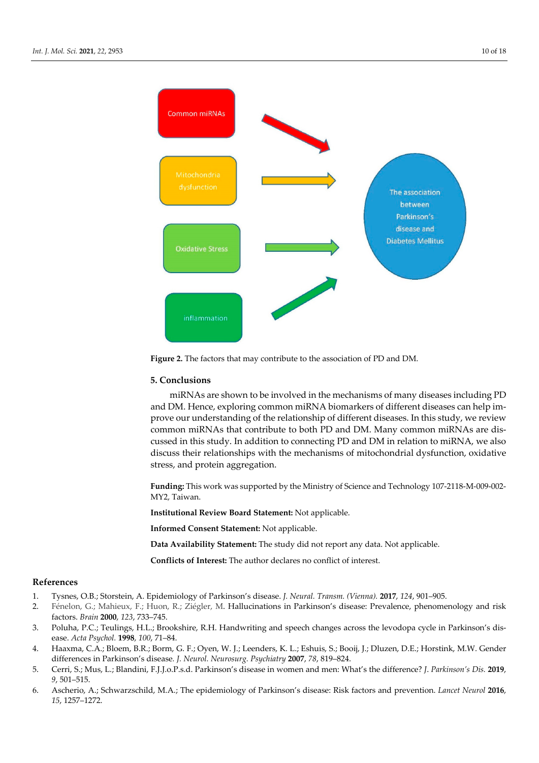

**Figure 2.** The factors that may contribute to the association of PD and DM.

#### **5. Conclusions**

miRNAs are shown to be involved in the mechanisms of many diseases including PD and DM. Hence, exploring common miRNA biomarkers of different diseases can help improve our understanding of the relationship of different diseases. In this study, we review common miRNAs that contribute to both PD and DM. Many common miRNAs are discussed in this study. In addition to connecting PD and DM in relation to miRNA, we also discuss their relationships with the mechanisms of mitochondrial dysfunction, oxidative stress, and protein aggregation.

**Funding:** This work was supported by the Ministry of Science and Technology 107-2118-M-009-002- MY2, Taiwan.

**Institutional Review Board Statement:** Not applicable.

**Informed Consent Statement:** Not applicable.

**Data Availability Statement:** The study did not report any data. Not applicable.

**Conflicts of Interest:** The author declares no conflict of interest.

### **References**

- 1. Tysnes, O.B.; Storstein, A. Epidemiology of Parkinson's disease. *J. Neural. Transm. (Vienna).* **2017**, *124*, 901–905.
- 2. Fénelon, G.; Mahieux, F.; Huon, R.; Ziégler, M. Hallucinations in Parkinson's disease: Prevalence, phenomenology and risk factors. *Brain* **2000**, *123*, 733–745.
- 3. Poluha, P.C.; Teulings, H.L.; Brookshire, R.H. Handwriting and speech changes across the levodopa cycle in Parkinson's disease. *Acta Psychol.* **1998**, *100*, 71–84.
- 4. Haaxma, C.A.; Bloem, B.R.; Borm, G. F.; Oyen, W. J.; Leenders, K. L.; Eshuis, S.; Booij, J.; Dluzen, D.E.; Horstink, M.W. Gender differences in Parkinson's disease*. J. Neurol. Neurosurg. Psychiatry* **2007**, *78*, 819–824.
- 5. Cerri, S.; Mus, L.; Blandini, F.J.J.o.P.s.d. Parkinson's disease in women and men: What's the difference? *J*. *Parkinson's Dis.* **2019**, *9*, 501–515.
- 6. Ascherio, A.; Schwarzschild, M.A.; The epidemiology of Parkinson's disease: Risk factors and prevention. *Lancet Neurol* **2016**, *15*, 1257–1272.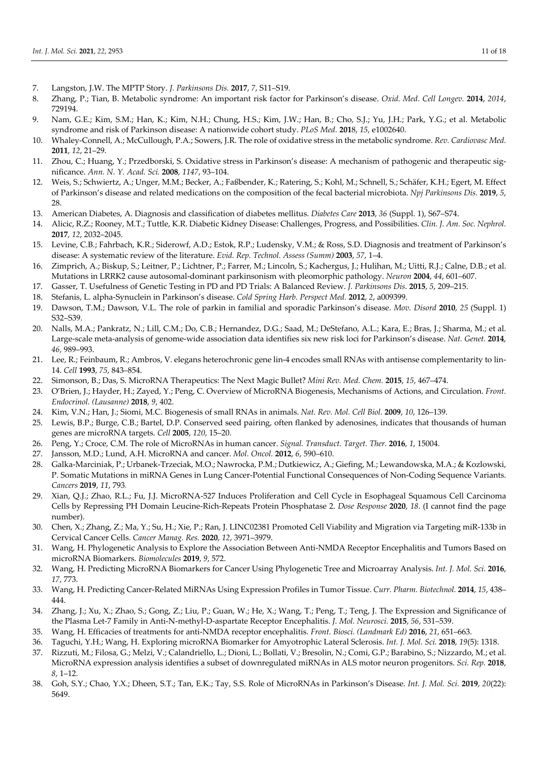- 7. Langston, J.W. The MPTP Story. *J. Parkinsons Dis.* **2017**, *7*, S11–S19.
- 8. Zhang, P.; Tian, B. Metabolic syndrome: An important risk factor for Parkinson's disease. *Oxid. Med. Cell Longev.* **2014**, *2014*, 729194.
- 9. Nam, G.E.; Kim, S.M.; Han, K.; Kim, N.H.; Chung, H.S.; Kim, J.W.; Han, B.; Cho, S.J.; Yu, J.H.; Park, Y.G.; et al. Metabolic syndrome and risk of Parkinson disease: A nationwide cohort study. *PLoS Med.* **201**8, *15*, e1002640.
- 10. Whaley-Connell, A.; McCullough, P.A.; Sowers, J.R. The role of oxidative stress in the metabolic syndrome. *Rev. Cardiovasc Med.*  **2011**, *12*, 21–29.
- 11. Zhou, C.; Huang, Y.; Przedborski, S. Oxidative stress in Parkinson's disease: A mechanism of pathogenic and therapeutic significance. *Ann. N. Y. Acad. Sci.* **2008**, *1147*, 93–104.
- 12. Weis, S.; Schwiertz, A.; Unger, M.M.; Becker, A.; Faßbender, K.; Ratering, S.; Kohl, M.; Schnell, S.; Schäfer, K.H.; Egert, M. Effect of Parkinson's disease and related medications on the composition of the fecal bacterial microbiota. *Npj Parkinsons Dis.* **2019**, *5*, 28.
- 13. American Diabetes, A. Diagnosis and classification of diabetes mellitus. *Diabetes Care* **2013**, *36* (Suppl. 1), S67–S74.
- 14. Alicic, R.Z.; Rooney, M.T.; Tuttle, K.R. Diabetic Kidney Disease: Challenges, Progress, and Possibilities. *Clin. J. Am. Soc. Nephrol.*  **2017**, *12*, 2032–2045.
- 15. Levine, C.B.; Fahrbach, K.R.; Siderowf, A.D.; Estok, R.P.; Ludensky, V.M.; & Ross, S.D. Diagnosis and treatment of Parkinson's disease: A systematic review of the literature. *Evid. Rep. Technol. Assess (Summ)* **2003**, *57*, 1–4.
- 16. Zimprich, A.; Biskup, S.; Leitner, P.; Lichtner, P.; Farrer, M.; Lincoln, S.; Kachergus, J.; Hulihan, M.; Uitti, R.J.; Calne, D.B.; et al. Mutations in LRRK2 cause autosomal-dominant parkinsonism with pleomorphic pathology. *Neuron* **2004**, *44*, 601–607.
- 17. Gasser, T. Usefulness of Genetic Testing in PD and PD Trials: A Balanced Review. *J. Parkinsons Dis*. **2015**, *5*, 209–215.
- 18. Stefanis, L. alpha-Synuclein in Parkinson's disease. *Cold Spring Harb. Perspect Med.* **2012**, *2*, a009399.
- 19. Dawson, T.M.; Dawson, V.L. The role of parkin in familial and sporadic Parkinson's disease. *Mov. Disord* **2010**, *25* (Suppl. 1) S32–S39.
- 20. Nalls, M.A.; Pankratz, N.; Lill, C.M.; Do, C.B.; Hernandez, D.G.; Saad, M.; DeStefano, A.L.; Kara, E.; Bras, J.; Sharma, M.; et al. Large-scale meta-analysis of genome-wide association data identifies six new risk loci for Parkinson's disease. *Nat. Genet.* **2014**, *46*, 989–993.
- 21. Lee, R.; Feinbaum, R.; Ambros, V. elegans heterochronic gene lin-4 encodes small RNAs with antisense complementarity to lin-14. *Cell* **1993**, *75*, 843–854.
- 22. Simonson, B.; Das, S. MicroRNA Therapeutics: The Next Magic Bullet? *Mini Rev. Med. Chem.* **2015**, *15*, 467–474.
- 23. O'Brien, J.; Hayder, H.; Zayed, Y.; Peng, C. Overview of MicroRNA Biogenesis, Mechanisms of Actions, and Circulation. *Front. Endocrinol. (Lausanne)* **2018**, *9*, 402.
- 24. Kim, V.N.; Han, J.; Siomi, M.C. Biogenesis of small RNAs in animals. *Nat. Rev. Mol. Cell Biol.* **2009**, *10*, 126–139.
- 25. Lewis, B.P.; Burge, C.B.; Bartel, D.P. Conserved seed pairing, often flanked by adenosines, indicates that thousands of human genes are microRNA targets. *Cell* **2005**, *120*, 15–20.
- 26. Peng, Y.; Croce, C.M. The role of MicroRNAs in human cancer. *Signal. Transduct. Target. Ther.* **2016**, *1*, 15004.
- 27. Jansson, M.D.; Lund, A.H. MicroRNA and cancer. *Mol. Oncol.* **2012**, *6*, 590–610.
- 28. Galka-Marciniak, P.; Urbanek-Trzeciak, M.O.; Nawrocka, P.M.; Dutkiewicz, A.; Giefing, M.; Lewandowska, M.A.; & Kozlowski, P. Somatic Mutations in miRNA Genes in Lung Cancer-Potential Functional Consequences of Non-Coding Sequence Variants. *Cancers* **2019**, *11*, 793.
- 29. Xian, Q.J.; Zhao, R.L.; Fu, J.J. MicroRNA-527 Induces Proliferation and Cell Cycle in Esophageal Squamous Cell Carcinoma Cells by Repressing PH Domain Leucine-Rich-Repeats Protein Phosphatase 2. *Dose Response* **2020**, *18*. (I cannot find the page number).
- 30. Chen, X.; Zhang, Z.; Ma, Y.; Su, H.; Xie, P.; Ran, J. LINC02381 Promoted Cell Viability and Migration via Targeting miR-133b in Cervical Cancer Cells. *Cancer Manag. Res.* **2020**, *12*, 3971–3979.
- 31. Wang, H. Phylogenetic Analysis to Explore the Association Between Anti-NMDA Receptor Encephalitis and Tumors Based on microRNA Biomarkers. *Biomolecules* **2019**, *9*, 572.
- 32. Wang, H. Predicting MicroRNA Biomarkers for Cancer Using Phylogenetic Tree and Microarray Analysis. *Int. J. Mol. Sci.* **2016**, *17*, 773.
- 33. Wang, H. Predicting Cancer-Related MiRNAs Using Expression Profiles in Tumor Tissue. *Curr. Pharm. Biotechnol.* **2014**, *15*, 438– 444.
- 34. Zhang, J.; Xu, X.; Zhao, S.; Gong, Z.; Liu, P.; Guan, W.; He, X.; Wang, T.; Peng, T.; Teng, J. The Expression and Significance of the Plasma Let-7 Family in Anti-N-methyl-D-aspartate Receptor Encephalitis. *J. Mol. Neurosci.* **2015**, *56*, 531–539.
- 35. Wang, H. Efficacies of treatments for anti-NMDA receptor encephalitis. *Front. Biosci. (Landmark Ed)* **2016**, *21*, 651–663.
- 36. Taguchi, Y.H.; Wang, H. Exploring microRNA Biomarker for Amyotrophic Lateral Sclerosis. *Int. J. Mol. Sci.* **2018**, *19*(5): 1318.
- 37. Rizzuti, M.; Filosa, G.; Melzi, V.; Calandriello, L.; Dioni, L.; Bollati, V.; Bresolin, N.; Comi, G.P.; Barabino, S.; Nizzardo, M.; et al. MicroRNA expression analysis identifies a subset of downregulated miRNAs in ALS motor neuron progenitors. *Sci. Rep.* **2018**, *8*, 1–12.
- 38. Goh, S.Y.; Chao, Y.X.; Dheen, S.T.; Tan, E.K.; Tay, S.S. Role of MicroRNAs in Parkinson's Disease. *Int. J. Mol. Sci.* **2019**, *20*(22): 5649.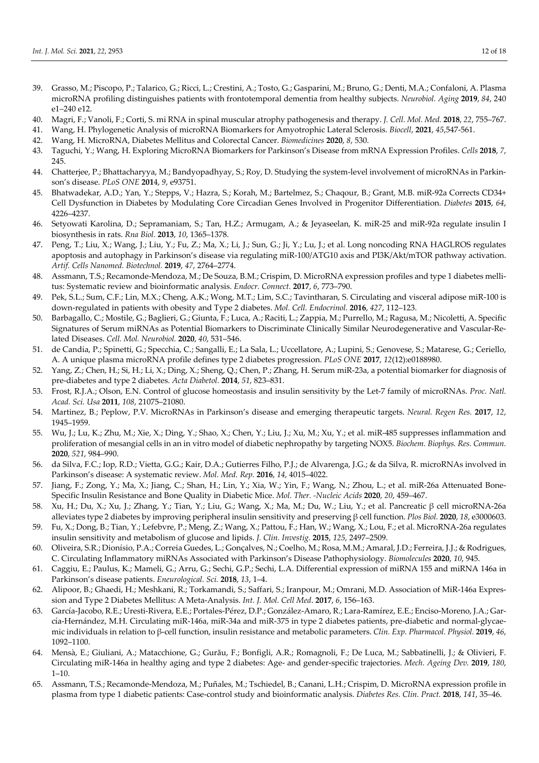- 39. Grasso, M.; Piscopo, P.; Talarico, G.; Ricci, L.; Crestini, A.; Tosto, G.; Gasparini, M.; Bruno, G.; Denti, M.A.; Confaloni, A. Plasma microRNA profiling distinguishes patients with frontotemporal dementia from healthy subjects. *Neurobiol. Aging* **2019**, *84*, 240 e1–240 e12.
- 40. Magri, F.; Vanoli, F.; Corti, S. mi RNA in spinal muscular atrophy pathogenesis and therapy. *J. Cell. Mol. Med.* **2018**, *22*, 755–767.
- 41. Wang, H. Phylogenetic Analysis of microRNA Biomarkers for Amyotrophic Lateral Sclerosis. *Biocell*, **2021**, *45*,547-561.
- 42. Wang, H. MicroRNA, Diabetes Mellitus and Colorectal Cancer. *Biomedicines* **2020**, *8*, 530.
- 43. Taguchi, Y.; Wang, H. Exploring MicroRNA Biomarkers for Parkinson's Disease from mRNA Expression Profiles. *Cells* **2018**, *7*, 245.
- 44. Chatterjee, P.; Bhattacharyya, M.; Bandyopadhyay, S.; Roy, D. Studying the system-level involvement of microRNAs in Parkinson's disease. *PLoS ONE* **201**4, *9*, e93751.
- 45. Bhatwadekar, A.D.; Yan, Y.; Stepps, V.; Hazra, S.; Korah, M.; Bartelmez, S.; Chaqour, B.; Grant, M.B. miR-92a Corrects CD34+ Cell Dysfunction in Diabetes by Modulating Core Circadian Genes Involved in Progenitor Differentiation. *Diabetes* **2015**, *64*, 4226–4237.
- 46. Setyowati Karolina, D.; Sepramaniam, S.; Tan, H.Z.; Armugam, A.; & Jeyaseelan, K. miR-25 and miR-92a regulate insulin I biosynthesis in rats. *Rna Biol.* **2013**, *10*, 1365–1378.
- 47. Peng, T.; Liu, X.; Wang, J.; Liu, Y.; Fu, Z.; Ma, X.; Li, J.; Sun, G.; Ji, Y.; Lu, J.; et al. Long noncoding RNA HAGLROS regulates apoptosis and autophagy in Parkinson's disease via regulating miR-100/ATG10 axis and PI3K/Akt/mTOR pathway activation. *Artif. Cells Nanomed. Biotechnol.* **2019**, *47*, 2764–2774.
- 48. Assmann, T.S.; Recamonde-Mendoza, M.; De Souza, B.M.; Crispim, D. MicroRNA expression profiles and type 1 diabetes mellitus: Systematic review and bioinformatic analysis. *Endocr. Connect.* **2017**, *6*, 773–790.
- 49. Pek, S.L.; Sum, C.F.; Lin, M.X.; Cheng, A.K.; Wong, M.T.; Lim, S.C.; Tavintharan, S. Circulating and visceral adipose miR-100 is down-regulated in patients with obesity and Type 2 diabetes. *Mol. Cell. Endocrinol.* **2016**, *427*, 112–123.
- 50. Barbagallo, C.; Mostile, G.; Baglieri, G.; Giunta, F.; Luca, A.; Raciti, L.; Zappia, M.; Purrello, M.; Ragusa, M.; Nicoletti, A. Specific Signatures of Serum miRNAs as Potential Biomarkers to Discriminate Clinically Similar Neurodegenerative and Vascular-Related Diseases. *Cell. Mol. Neurobiol.* **2020**, *40*, 531–546.
- 51. de Candia, P.; Spinetti, G.; Specchia, C.; Sangalli, E.; La Sala, L.; Uccellatore, A.; Lupini, S.; Genovese, S.; Matarese, G.; Ceriello, A. A unique plasma microRNA profile defines type 2 diabetes progression. *PLoS ONE* **2017**, *12*(12):e0188980.
- 52. Yang, Z.; Chen, H.; Si, H.; Li, X.; Ding, X.; Sheng, Q.; Chen, P.; Zhang, H. Serum miR-23a, a potential biomarker for diagnosis of pre-diabetes and type 2 diabetes. *Acta Diabetol.* **2014**, *51*, 823–831.
- 53. Frost, R.J.A.; Olson, E.N. Control of glucose homeostasis and insulin sensitivity by the Let-7 family of microRNAs. *Proc. Natl. Acad. Sci. Usa* **2011**, *108*, 21075–21080.
- 54. Martinez, B.; Peplow, P.V. MicroRNAs in Parkinson's disease and emerging therapeutic targets. *Neural. Regen Res.* **2017**, *12*, 1945–1959.
- 55. Wu, J.; Lu, K.; Zhu, M.; Xie, X.; Ding, Y.; Shao, X.; Chen, Y.; Liu, J.; Xu, M.; Xu, Y.; et al. miR-485 suppresses inflammation and proliferation of mesangial cells in an in vitro model of diabetic nephropathy by targeting NOX5. *Biochem. Biophys. Res. Commun.*  **2020**, *521*, 984–990.
- 56. da Silva, F.C.; Iop, R.D.; Vietta, G.G.; Kair, D.A.; Gutierres Filho, P.J.; de Alvarenga, J.G.; & da Silva, R. microRNAs involved in Parkinson's disease: A systematic review. *Mol. Med. Rep.* **2016**, *14*, 4015–4022.
- 57. Jiang, F.; Zong, Y.; Ma, X.; Jiang, C.; Shan, H.; Lin, Y.; Xia, W.; Yin, F.; Wang, N.; Zhou, L.; et al. miR-26a Attenuated Bone-Specific Insulin Resistance and Bone Quality in Diabetic Mice. *Mol. Ther. -Nucleic Acids* **2020**, *20*, 459–467.
- 58. Xu, H.; Du, X.; Xu, J.; Zhang, Y.; Tian, Y.; Liu, G.; Wang, X.; Ma, M.; Du, W.; Liu, Y.; et al. Pancreatic β cell microRNA-26a alleviates type 2 diabetes by improving peripheral insulin sensitivity and preserving β cell function. *Plos Biol.* **2020**, *18*, e3000603.
- 59. Fu, X.; Dong, B.; Tian, Y.; Lefebvre, P.; Meng, Z.; Wang, X.; Pattou, F.; Han, W.; Wang, X.; Lou, F.; et al. MicroRNA-26a regulates insulin sensitivity and metabolism of glucose and lipids. *J. Clin. Investig.* **2015**, *125*, 2497–2509.
- 60. Oliveira, S.R.; Dionísio, P.A.; Correia Guedes, L.; Gonçalves, N.; Coelho, M.; Rosa, M.M.; Amaral, J.D.; Ferreira, J.J.; & Rodrigues, C. Circulating Inflammatory miRNAs Associated with Parkinson's Disease Pathophysiology. *Biomolecules* **2020**, *10*, 945.
- 61. Caggiu, E.; Paulus, K.; Mameli, G.; Arru, G.; Sechi, G.P.; Sechi, L.A. Differential expression of miRNA 155 and miRNA 146a in Parkinson's disease patients. *Eneurological. Sci.* **2018**, *13*, 1–4.
- 62. Alipoor, B.; Ghaedi, H.; Meshkani, R.; Torkamandi, S.; Saffari, S.; Iranpour, M.; Omrani, M.D. Association of MiR-146a Expression and Type 2 Diabetes Mellitus: A Meta-Analysis. *Int. J. Mol. Cell Med*. **2017**, *6*, 156–163.
- 63. García-Jacobo, R.E.; Uresti-Rivera, E.E.; Portales-Pérez, D.P.; González-Amaro, R.; Lara-Ramírez, E.E.; Enciso-Moreno, J.A.; García-Hernández, M.H. Circulating miR-146a, miR-34a and miR-375 in type 2 diabetes patients, pre-diabetic and normal-glycaemic individuals in relation to β-cell function, insulin resistance and metabolic parameters. *Clin. Exp. Pharmacol. Physiol.* **2019**, *46*, 1092–1100.
- 64. Mensà, E.; Giuliani, A.; Matacchione, G.; Gurău, F.; Bonfigli, A.R.; Romagnoli, F.; De Luca, M.; Sabbatinelli, J.; & Olivieri, F. Circulating miR-146a in healthy aging and type 2 diabetes: Age- and gender-specific trajectories. *Mech. Ageing Dev.* **2019**, *180*,  $1 - 10$ .
- 65. Assmann, T.S.; Recamonde-Mendoza, M.; Puñales, M.; Tschiedel, B.; Canani, L.H.; Crispim, D. MicroRNA expression profile in plasma from type 1 diabetic patients: Case-control study and bioinformatic analysis. *Diabetes Res. Clin. Pract.* **2018**, *141*, 35–46.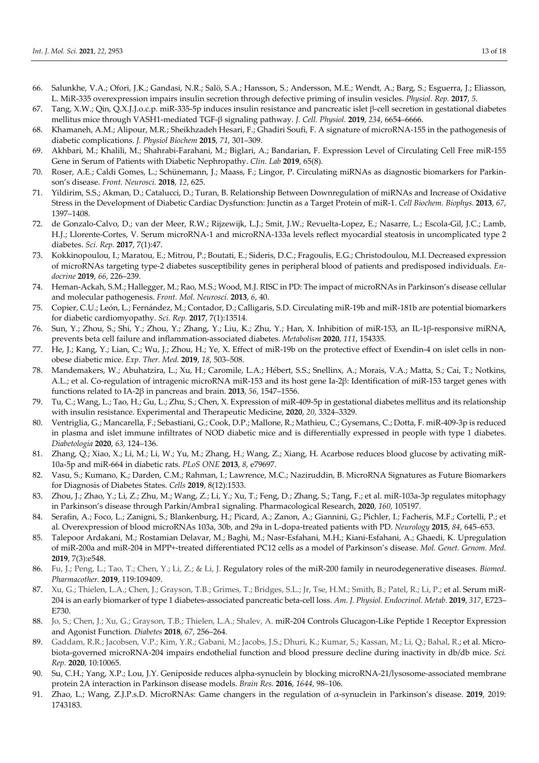- 66. Salunkhe, V.A.; Ofori, J.K.; Gandasi, N.R.; Salö, S.A.; Hansson, S.; Andersson, M.E.; Wendt, A.; Barg, S.; Esguerra, J.; Eliasson, L. MiR-335 overexpression impairs insulin secretion through defective priming of insulin vesicles. *Physiol. Rep.* **2017**, *5*.
- 67. Tang, X.W.; Qin, Q.X.J.J.o.c.p. miR-335-5p induces insulin resistance and pancreatic islet β-cell secretion in gestational diabetes mellitus mice through VASH1-mediated TGF-β signaling pathway. *J. Cell. Physiol.* **2019**, *234*, 6654–6666.
- 68. Khamaneh, A.M.; Alipour, M.R.; Sheikhzadeh Hesari, F.; Ghadiri Soufi, F. A signature of microRNA-155 in the pathogenesis of diabetic complications. *J. Physiol Biochem* **2015**, *71*, 301–309.
- 69. Akhbari, M.; Khalili, M.; Shahrabi-Farahani, M.; Biglari, A.; Bandarian, F. Expression Level of Circulating Cell Free miR-155 Gene in Serum of Patients with Diabetic Nephropathy. *Clin. Lab* **2019**, 65(8).
- 70. Roser, A.E.; Caldi Gomes, L.; Schünemann, J.; Maass, F.; Lingor, P. Circulating miRNAs as diagnostic biomarkers for Parkinson's disease. *Front. Neurosci.* **2018**, *12*, 625.
- 71. Yildirim, S.S.; Akman, D.; Catalucci, D.; Turan, B. Relationship Between Downregulation of miRNAs and Increase of Oxidative Stress in the Development of Diabetic Cardiac Dysfunction: Junctin as a Target Protein of miR-1. *Cell Biochem. Biophys.* **2013**, *67*, 1397–1408.
- 72. de Gonzalo-Calvo, D.; van der Meer, R.W.; Rijzewijk, L.J.; Smit, J.W.; Revuelta-Lopez, E.; Nasarre, L.; Escola-Gil, J.C.; Lamb, H.J.; Llorente-Cortes, V. Serum microRNA-1 and microRNA-133a levels reflect myocardial steatosis in uncomplicated type 2 diabetes. *Sci. Rep.* **2017**, 7(1):47.
- 73. Kokkinopoulou, I.; Maratou, E.; Mitrou, P.; Boutati, E.; Sideris, D.C.; Fragoulis, E.G.; Christodoulou, M.I. Decreased expression of microRNAs targeting type-2 diabetes susceptibility genes in peripheral blood of patients and predisposed individuals. *Endocrine* **2019**, *66*, 226–239.
- 74. Heman-Ackah, S.M.; Hallegger, M.; Rao, M.S.; Wood, M.J. RISC in PD: The impact of microRNAs in Parkinson's disease cellular and molecular pathogenesis. *Front. Mol. Neurosci.* **2013**, *6*, 40.
- 75. Copier, C.U.; León, L.; Fernández, M.; Contador, D.; Calligaris, S.D. Circulating miR-19b and miR-181b are potential biomarkers for diabetic cardiomyopathy. *Sci. Rep.* **2017**, 7(1):13514.
- 76. Sun, Y.; Zhou, S.; Shi, Y.; Zhou, Y.; Zhang, Y.; Liu, K.; Zhu, Y.; Han, X. Inhibition of miR-153, an IL-1β-responsive miRNA, prevents beta cell failure and inflammation-associated diabetes. *Metabolism* **2020**, *111*, 154335.
- 77. He, J.; Kang, Y.; Lian, C.; Wu, J.; Zhou, H.; Ye, X. Effect of miR-19b on the protective effect of Exendin-4 on islet cells in nonobese diabetic mice. *Exp. Ther. Med.* **2019**, *18*, 503–508.
- 78. Mandemakers, W.; Abuhatzira, L.; Xu, H.; Caromile, L.A.; Hébert, S.S.; Snellinx, A.; Morais, V.A.; Matta, S.; Cai, T.; Notkins, A.L.; et al. Co-regulation of intragenic microRNA miR-153 and its host gene Ia-2β: Identification of miR-153 target genes with functions related to IA-2β in pancreas and brain. **2013**, *56*, 1547–1556.
- 79. Tu, C.; Wang, L.; Tao, H.; Gu, L.; Zhu, S.; Chen, X. Expression of miR-409-5p in gestational diabetes mellitus and its relationship with insulin resistance. Experimental and Therapeutic Medicine, **2020**, *20*, 3324–3329.
- 80. Ventriglia, G.; Mancarella, F.; Sebastiani, G.; Cook, D.P.; Mallone, R.; Mathieu, C.; Gysemans, C.; Dotta, F. miR-409-3p is reduced in plasma and islet immune infiltrates of NOD diabetic mice and is differentially expressed in people with type 1 diabetes. *Diabetologia* **2020**, *63*, 124–136.
- 81. Zhang, Q.; Xiao, X.; Li, M.; Li, W.; Yu, M.; Zhang, H.; Wang, Z.; Xiang, H. Acarbose reduces blood glucose by activating miR-10a-5p and miR-664 in diabetic rats. *PLoS ONE* **2013**, *8*, e79697.
- 82. Vasu, S.; Kumano, K.; Darden, C.M.; Rahman, I.; Lawrence, M.C.; Naziruddin, B. MicroRNA Signatures as Future Biomarkers for Diagnosis of Diabetes States. *Cells* **2019**, 8(12):1533.
- 83. Zhou, J.; Zhao, Y.; Li, Z.; Zhu, M.; Wang, Z.; Li, Y.; Xu, T.; Feng, D.; Zhang, S.; Tang, F.; et al. miR-103a-3p regulates mitophagy in Parkinson's disease through Parkin/Ambra1 signaling. Pharmacological Research, **2020**, *160*, 105197.
- 84. Serafin, A.; Foco, L.; Zanigni, S.; Blankenburg, H.; Picard, A.; Zanon, A.; Giannini, G.; Pichler, I.; Facheris, M.F.; Cortelli, P.; et al. Overexpression of blood microRNAs 103a, 30b, and 29a in L-dopa-treated patients with PD. *Neurology* **2015**, *84*, 645–653.
- 85. Talepoor Ardakani, M.; Rostamian Delavar, M.; Baghi, M.; Nasr-Esfahani, M.H.; Kiani-Esfahani, A.; Ghaedi, K. Upregulation of miR-200a and miR-204 in MPP+-treated differentiated PC12 cells as a model of Parkinson's disease. *Mol. Genet. Genom. Med.*  **2019**, 7(3):e548.
- 86. Fu, J.; Peng, L.; Tao, T.; Chen, Y.; Li, Z.; & Li, J. Regulatory roles of the miR-200 family in neurodegenerative diseases. *Biomed. Pharmacother.* **2019**, 119:109409.
- 87. Xu, G.; Thielen, L.A.; Chen, J.; Grayson, T.B.; Grimes, T.; Bridges, S.L.; Jr, Tse, H.M.; Smith, B.; Patel, R.; Li, P.; et al. Serum miR-204 is an early biomarker of type 1 diabetes-associated pancreatic beta-cell loss. *Am. J. Physiol. Endocrinol. Metab.* **2019**, *317*, E723– E730.
- 88. Jo, S.; Chen, J.; Xu, G.; Grayson, T.B.; Thielen, L.A.; Shalev, A. miR-204 Controls Glucagon-Like Peptide 1 Receptor Expression and Agonist Function. *Diabetes* **2018**, *67*, 256–264.
- 89. Gaddam, R.R.; Jacobsen, V.P.; Kim, Y.R.; Gabani, M.; Jacobs, J.S.; Dhuri, K.; Kumar, S.; Kassan, M.; Li, Q.; Bahal, R.; et al. Microbiota-governed microRNA-204 impairs endothelial function and blood pressure decline during inactivity in db/db mice. *Sci. Rep.* **2020**, 10:10065.
- 90. Su, C.H.; Yang, X.P.; Lou, J.Y. Geniposide reduces alpha-synuclein by blocking microRNA-21/lysosome-associated membrane protein 2A interaction in Parkinson disease models. *Brain Res.* **2016**, *1644*, 98–106.
- 91. Zhao, L.; Wang, Z.J.P.s.D. MicroRNAs: Game changers in the regulation of α-synuclein in Parkinson's disease. **2019**, 2019: 1743183.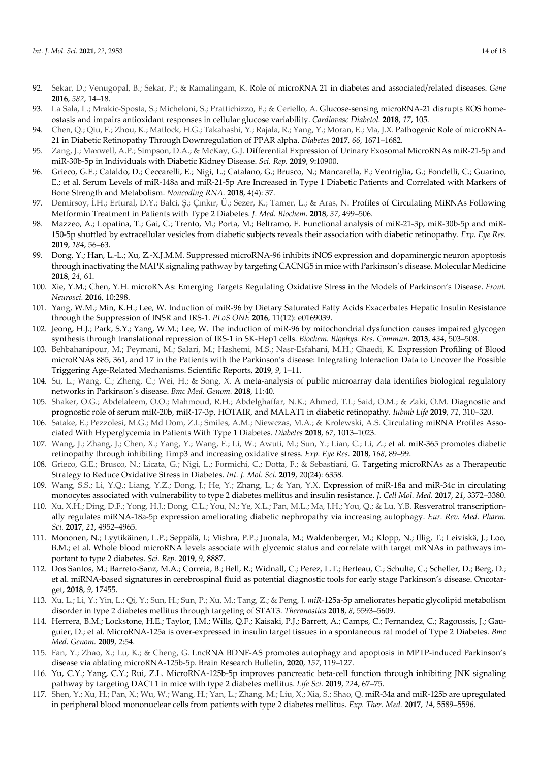- 92. Sekar, D.; Venugopal, B.; Sekar, P.; & Ramalingam, K. Role of microRNA 21 in diabetes and associated/related diseases. *Gene* **2016**, *582*, 14–18.
- 93. La Sala, L.; Mrakic-Sposta, S.; Micheloni, S.; Prattichizzo, F.; & Ceriello, A. Glucose-sensing microRNA-21 disrupts ROS homeostasis and impairs antioxidant responses in cellular glucose variability. *Cardiovasc Diabetol.* **2018**, *17*, 105.
- 94. Chen, Q.; Qiu, F.; Zhou, K.; Matlock, H.G.; Takahashi, Y.; Rajala, R.; Yang, Y.; Moran, E.; Ma, J.X. Pathogenic Role of microRNA-21 in Diabetic Retinopathy Through Downregulation of PPAR alpha. *Diabetes* **2017**, *66*, 1671–1682.
- 95. Zang, J.; Maxwell, A.P.; Simpson, D.A.; & McKay, G.J. Differential Expression of Urinary Exosomal MicroRNAs miR-21-5p and miR-30b-5p in Individuals with Diabetic Kidney Disease. *Sci. Rep.* **2019**, 9:10900.
- 96. Grieco, G.E.; Cataldo, D.; Ceccarelli, E.; Nigi, L.; Catalano, G.; Brusco, N.; Mancarella, F.; Ventriglia, G.; Fondelli, C.; Guarino, E.; et al. Serum Levels of miR-148a and miR-21-5p Are Increased in Type 1 Diabetic Patients and Correlated with Markers of Bone Strength and Metabolism. *Noncoding RNA.* **2018**, 4(4): 37.
- 97. Demirsoy, İ.H.; Ertural, D.Y.; Balci, Ş.; Çınkır, Ü.; Sezer, K.; Tamer, L.; & Aras, N. Profiles of Circulating MiRNAs Following Metformin Treatment in Patients with Type 2 Diabetes. *J. Med. Biochem.* **2018**, *37*, 499–506.
- 98. Mazzeo, A.; Lopatina, T.; Gai, C.; Trento, M.; Porta, M.; Beltramo, E. Functional analysis of miR-21-3p, miR-30b-5p and miR-150-5p shuttled by extracellular vesicles from diabetic subjects reveals their association with diabetic retinopathy. *Exp. Eye Res.*  **2019**, *184*, 56–63.
- 99. Dong, Y.; Han, L.-L.; Xu, Z.-X.J.M.M. Suppressed microRNA-96 inhibits iNOS expression and dopaminergic neuron apoptosis through inactivating the MAPK signaling pathway by targeting CACNG5 in mice with Parkinson's disease. Molecular Medicine **2018**, *24*, 61.
- 100. Xie, Y.M.; Chen, Y.H. microRNAs: Emerging Targets Regulating Oxidative Stress in the Models of Parkinson's Disease. *Front. Neurosci.* **2016**, 10:298.
- 101. Yang, W.M.; Min, K.H.; Lee, W. Induction of miR-96 by Dietary Saturated Fatty Acids Exacerbates Hepatic Insulin Resistance through the Suppression of INSR and IRS-1. *PLoS ONE* **2016**, 11(12): e0169039.
- 102. Jeong, H.J.; Park, S.Y.; Yang, W.M.; Lee, W. The induction of miR-96 by mitochondrial dysfunction causes impaired glycogen synthesis through translational repression of IRS-1 in SK-Hep1 cells. *Biochem. Biophys. Res. Commun.* **2013**, *434*, 503–508.
- 103. Behbahanipour, M.; Peymani, M.; Salari, M.; Hashemi, M.S.; Nasr-Esfahani, M.H.; Ghaedi, K. Expression Profiling of Blood microRNAs 885, 361, and 17 in the Patients with the Parkinson's disease: Integrating Interaction Data to Uncover the Possible Triggering Age-Related Mechanisms. Scientific Reports, **2019**, *9*, 1–11.
- 104. Su, L.; Wang, C.; Zheng, C.; Wei, H.; & Song, X. A meta-analysis of public microarray data identifies biological regulatory networks in Parkinson's disease. *Bmc Med. Genom.* **2018**, 11:40.
- 105. Shaker, O.G.; Abdelaleem, O.O.; Mahmoud, R.H.; Abdelghaffar, N.K.; Ahmed, T.I.; Said, O.M.; & Zaki, O.M. Diagnostic and prognostic role of serum miR-20b, miR-17-3p, HOTAIR, and MALAT1 in diabetic retinopathy. *Iubmb Life* **2019**, *71*, 310–320.
- 106. Satake, E.; Pezzolesi, M.G.; Md Dom, Z.I.; Smiles, A.M.; Niewczas, M.A.; & Krolewski, A.S. Circulating miRNA Profiles Associated With Hyperglycemia in Patients With Type 1 Diabetes. *Diabetes* **2018**, *67*, 1013–1023.
- 107. Wang, J.; Zhang, J.; Chen, X.; Yang, Y.; Wang, F.; Li, W.; Awuti, M.; Sun, Y.; Lian, C.; Li, Z.; et al. miR-365 promotes diabetic retinopathy through inhibiting Timp3 and increasing oxidative stress. *Exp. Eye Res.* **2018**, *168*, 89–99.
- 108. Grieco, G.E.; Brusco, N.; Licata, G.; Nigi, L.; Formichi, C.; Dotta, F.; & Sebastiani, G. Targeting microRNAs as a Therapeutic Strategy to Reduce Oxidative Stress in Diabetes. *Int. J. Mol. Sci.* **2019**, 20(24): 6358.
- 109. Wang, S.S.; Li, Y.Q.; Liang, Y.Z.; Dong, J.; He, Y.; Zhang, L.; & Yan, Y.X. Expression of miR-18a and miR-34c in circulating monocytes associated with vulnerability to type 2 diabetes mellitus and insulin resistance. *J. Cell Mol. Med.* **2017**, *21*, 3372–3380.
- 110. Xu, X.H.; Ding, D.F.; Yong, H.J.; Dong, C.L.; You, N.; Ye, X.L.; Pan, M.L.; Ma, J.H.; You, Q.; & Lu, Y.B. Resveratrol transcriptionally regulates miRNA-18a-5p expression ameliorating diabetic nephropathy via increasing autophagy. *Eur. Rev. Med. Pharm. Sci.* **2017**, *21*, 4952–4965.
- 111. Mononen, N.; Lyytikäinen, L.P.; Seppälä, I.; Mishra, P.P.; Juonala, M.; Waldenberger, M.; Klopp, N.; Illig, T.; Leiviskä, J.; Loo, B.M.; et al. Whole blood microRNA levels associate with glycemic status and correlate with target mRNAs in pathways important to type 2 diabetes. *Sci. Rep.* **2019**, *9*, 8887.
- 112. Dos Santos, M.; Barreto-Sanz, M.A.; Correia, B.; Bell, R.; Widnall, C.; Perez, L.T.; Berteau, C.; Schulte, C.; Scheller, D.; Berg, D.; et al. miRNA-based signatures in cerebrospinal fluid as potential diagnostic tools for early stage Parkinson's disease. Oncotarget, **2018**, *9*, 17455.
- 113. Xu, L.; Li, Y.; Yin, L.; Qi, Y.; Sun, H.; Sun, P.; Xu, M.; Tang, Z.; & Peng, J. *miR-*125a-5p ameliorates hepatic glycolipid metabolism disorder in type 2 diabetes mellitus through targeting of STAT3. *Theranostics* **2018**, *8*, 5593–5609.
- 114. Herrera, B.M.; Lockstone, H.E.; Taylor, J.M.; Wills, Q.F.; Kaisaki, P.J.; Barrett, A.; Camps, C.; Fernandez, C.; Ragoussis, J.; Gauguier, D.; et al. MicroRNA-125a is over-expressed in insulin target tissues in a spontaneous rat model of Type 2 Diabetes. *Bmc Med. Genom.* **2009**, 2:54.
- 115. Fan, Y.; Zhao, X.; Lu, K.; & Cheng, G. LncRNA BDNF-AS promotes autophagy and apoptosis in MPTP-induced Parkinson's disease via ablating microRNA-125b-5p. Brain Research Bulletin, **2020**, *157*, 119–127.
- 116. Yu, C.Y.; Yang, C.Y.; Rui, Z.L. MicroRNA-125b-5p improves pancreatic beta-cell function through inhibiting JNK signaling pathway by targeting DACT1 in mice with type 2 diabetes mellitus. *Life Sci.* **2019**, *224*, 67–75.
- 117. Shen, Y.; Xu, H.; Pan, X.; Wu, W.; Wang, H.; Yan, L.; Zhang, M.; Liu, X.; Xia, S.; Shao, Q. miR-34a and miR-125b are upregulated in peripheral blood mononuclear cells from patients with type 2 diabetes mellitus. *Exp. Ther. Med.* **2017**, *14*, 5589–5596.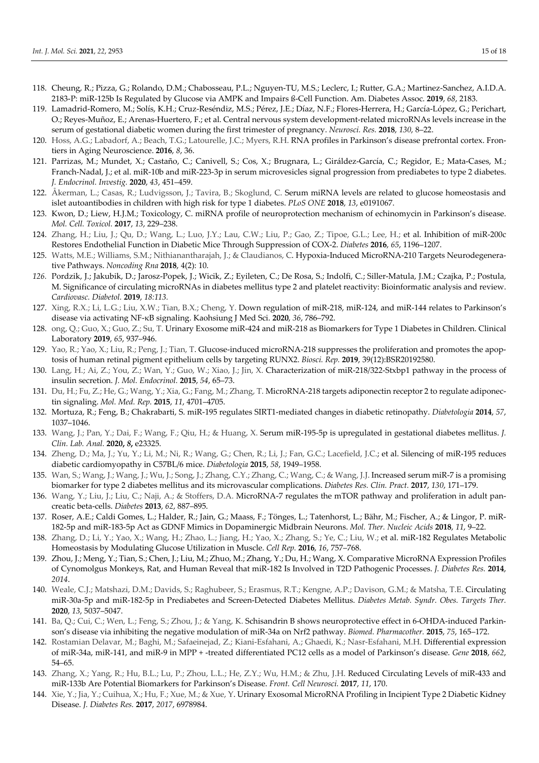- 118. Cheung, R.; Pizza, G.; Rolando, D.M.; Chabosseau, P.L.; Nguyen-TU, M.S.; Leclerc, I.; Rutter, G.A.; Martinez-Sanchez, A.I.D.A. 2183-P: miR-125b Is Regulated by Glucose via AMPK and Impairs ß-Cell Function. Am. Diabetes Assoc. **2019**, *68*, 2183.
- 119. Lamadrid-Romero, M.; Solís, K.H.; Cruz-Reséndiz, M.S.; Pérez, J.E.; Díaz, N.F.; Flores-Herrera, H.; García-López, G.; Perichart, O.; Reyes-Muñoz, E.; Arenas-Huertero, F.; et al. Central nervous system development-related microRNAs levels increase in the serum of gestational diabetic women during the first trimester of pregnancy. *Neurosci. Res.* **2018**, *130*, 8–22.
- 120. Hoss, A.G.; Labadorf, A.; Beach, T.G.; Latourelle, J.C.; Myers, R.H. RNA profiles in Parkinson's disease prefrontal cortex. Frontiers in Aging Neuroscience. **2016**, *8*, 36.
- 121. Parrizas, M.; Mundet, X.; Castaño, C.; Canivell, S.; Cos, X.; Brugnara, L.; Giráldez-García, C.; Regidor, E.; Mata-Cases, M.; Franch-Nadal, J.; et al. miR-10b and miR-223-3p in serum microvesicles signal progression from prediabetes to type 2 diabetes. *J. Endocrinol. Investig.* **2020**, *43*, 451–459.
- 122. Åkerman, L.; Casas, R.; Ludvigsson, J.; Tavira, B.; Skoglund, C. Serum miRNA levels are related to glucose homeostasis and islet autoantibodies in children with high risk for type 1 diabetes. *PLoS ONE* **2018**, *13*, e0191067.
- 123. Kwon, D.; Liew, H.J.M.; Toxicology, C. miRNA profile of neuroprotection mechanism of echinomycin in Parkinson's disease. *Mol. Cell. Toxicol.* **2017**, *13*, 229–238.
- 124. Zhang, H.; Liu, J.; Qu, D.; Wang, L.; Luo, J.Y.; Lau, C.W.; Liu, P.; Gao, Z.; Tipoe, G.L.; Lee, H.; et al. Inhibition of miR-200c Restores Endothelial Function in Diabetic Mice Through Suppression of COX-2. *Diabetes* **2016**, *65*, 1196–1207.
- 125. Watts, M.E.; Williams, S.M.; Nithianantharajah, J.; & Claudianos, C. Hypoxia-Induced MicroRNA-210 Targets Neurodegenerative Pathways. *Noncoding Rna* **2018**, 4(2): 10.
- *126.* Pordzik, J.; Jakubik, D.; Jarosz-Popek, J.; Wicik, Z.; Eyileten, C.; De Rosa, S.; Indolfi, C.; Siller-Matula, J.M.; Czajka, P.; Postula, M. Significance of circulating microRNAs in diabetes mellitus type 2 and platelet reactivity: Bioinformatic analysis and review. *Cardiovasc. Diabetol.* **2019**, *18:113.*
- 127. Xing, R.X.; Li, L.G.; Liu, X.W.; Tian, B.X.; Cheng, Y. Down regulation of miR-218, miR-124, and miR-144 relates to Parkinson's disease via activating NF-κB signaling. Kaohsiung J Med Sci. **2020**, *36*, 786–792.
- 128. ong, Q.; Guo, X.; Guo, Z.; Su, T. Urinary Exosome miR-424 and miR-218 as Biomarkers for Type 1 Diabetes in Children. Clinical Laboratory **2019**, *65*, 937–946.
- 129. Yao, R.; Yao, X.; Liu, R.; Peng, J.; Tian, T. Glucose-induced microRNA-218 suppresses the proliferation and promotes the apoptosis of human retinal pigment epithelium cells by targeting RUNX2. *Biosci. Rep.* **2019**, 39(12):BSR20192580.
- 130. Lang, H.; Ai, Z.; You, Z.; Wan, Y.; Guo, W.; Xiao, J.; Jin, X. Characterization of miR-218/322-Stxbp1 pathway in the process of insulin secretion. *J. Mol. Endocrinol.* **2015**, *54*, 65–73.
- 131. Du, H.; Fu, Z.; He, G.; Wang, Y.; Xia, G.; Fang, M.; Zhang, T. MicroRNA-218 targets adiponectin receptor 2 to regulate adiponectin signaling. *Mol. Med. Rep.* **2015**, *11*, 4701–4705.
- 132. Mortuza, R.; Feng, B.; Chakrabarti, S. miR-195 regulates SIRT1-mediated changes in diabetic retinopathy. *Diabetologia* **2014**, *57*, 1037–1046.
- 133. Wang, J.; Pan, Y.; Dai, F.; Wang, F.; Qiu, H.; & Huang, X. Serum miR-195-5p is upregulated in gestational diabetes mellitus. *J. Clin. Lab. Anal.* **2020,** *8***,** e23325.
- 134. Zheng, D.; Ma, J.; Yu, Y.; Li, M.; Ni, R.; Wang, G.; Chen, R.; Li, J.; Fan, G.C.; Lacefield, J.C.; et al. Silencing of miR-195 reduces diabetic cardiomyopathy in C57BL/6 mice. *Diabetologia* **2015**, *58*, 1949–1958.
- 135. Wan, S.; Wang, J.; Wang, J.; Wu, J.; Song, J.; Zhang, C.Y.; Zhang, C.; Wang, C.; & Wang, J.J. Increased serum miR-7 is a promising biomarker for type 2 diabetes mellitus and its microvascular complications. *Diabetes Res. Clin. Pract.* **2017**, *130*, 171–179.
- 136. Wang, Y.; Liu, J.; Liu, C.; Naji, A.; & Stoffers, D.A. MicroRNA-7 regulates the mTOR pathway and proliferation in adult pancreatic beta-cells. *Diabetes* **2013**, *62*, 887–895.
- 137. Roser, A.E.; Caldi Gomes, L.; Halder, R.; Jain, G.; Maass, F.; Tönges, L.; Tatenhorst, L.; Bähr, M.; Fischer, A.; & Lingor, P. miR-182-5p and miR-183-5p Act as GDNF Mimics in Dopaminergic Midbrain Neurons. *Mol. Ther. Nucleic Acids* **2018**, *11*, 9–22.
- 138. Zhang, D.; Li, Y.; Yao, X.; Wang, H.; Zhao, L.; Jiang, H.; Yao, X.; Zhang, S.; Ye, C.; Liu, W.; et al. miR-182 Regulates Metabolic Homeostasis by Modulating Glucose Utilization in Muscle. *Cell Rep.* **2016**, *16*, 757–768.
- 139. Zhou, J.; Meng, Y.; Tian, S.; Chen, J.; Liu, M.; Zhuo, M.; Zhang, Y.; Du, H.; Wang, X. Comparative MicroRNA Expression Profiles of Cynomolgus Monkeys, Rat, and Human Reveal that miR-182 Is Involved in T2D Pathogenic Processes. *J. Diabetes Res.* **2014**, *2014*.
- 140. Weale, C.J.; Matshazi, D.M.; Davids, S.; Raghubeer, S.; Erasmus, R.T.; Kengne, A.P.; Davison, G.M.; & Matsha, T.E. Circulating miR-30a-5p and miR-182-5p in Prediabetes and Screen-Detected Diabetes Mellitus. *Diabetes Metab. Syndr. Obes. Targets Ther.*  **2020**, *13*, 5037–5047.
- 141. Ba, Q.; Cui, C.; Wen, L.; Feng, S.; Zhou, J.; & Yang, K. Schisandrin B shows neuroprotective effect in 6-OHDA-induced Parkinson's disease via inhibiting the negative modulation of miR-34a on Nrf2 pathway. *Biomed. Pharmacother.* **2015**, *75*, 165–172.
- 142. Rostamian Delavar, M.; Baghi, M.; Safaeinejad, Z.; Kiani-Esfahani, A.; Ghaedi, K.; Nasr-Esfahani, M.H. Differential expression of miR-34a, miR-141, and miR-9 in MPP + -treated differentiated PC12 cells as a model of Parkinson's disease. *Gene* **2018**, *662*, 54–65.
- 143. Zhang, X.; Yang, R.; Hu, B.L.; Lu, P.; Zhou, L.L.; He, Z.Y.; Wu, H.M.; & Zhu, J.H. Reduced Circulating Levels of miR-433 and miR-133b Are Potential Biomarkers for Parkinson's Disease. *Front. Cell Neurosci.* **2017**, *11*, 170.
- 144. Xie, Y.; Jia, Y.; Cuihua, X.; Hu, F.; Xue, M.; & Xue, Y. Urinary Exosomal MicroRNA Profiling in Incipient Type 2 Diabetic Kidney Disease. *J. Diabetes Res.* **2017**, *2017*, 6978984.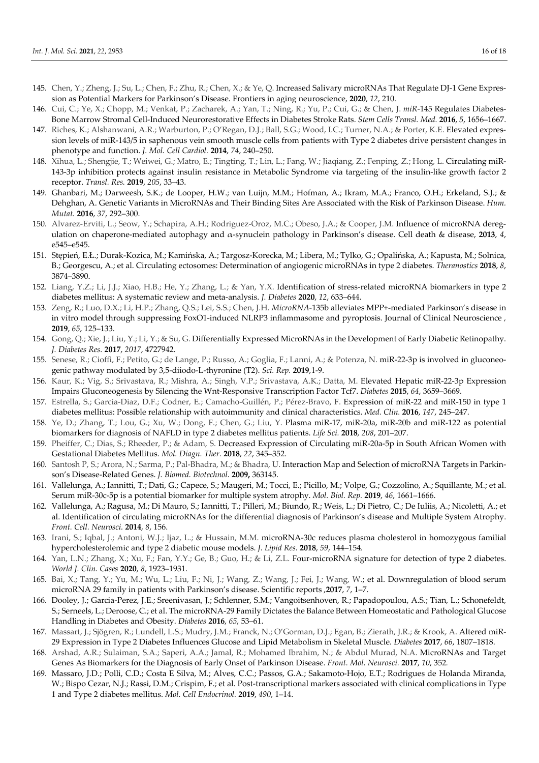- 145. Chen, Y.; Zheng, J.; Su, L.; Chen, F.; Zhu, R.; Chen, X.; & Ye, Q. Increased Salivary microRNAs That Regulate DJ-1 Gene Expression as Potential Markers for Parkinson's Disease. Frontiers in aging neuroscience, **2020**, *12*, 210.
- 146. Cui, C.; Ye, X.; Chopp, M.; Venkat, P.; Zacharek, A.; Yan, T.; Ning, R.; Yu, P.; Cui, G.; & Chen, J. *miR-*145 Regulates Diabetes-Bone Marrow Stromal Cell-Induced Neurorestorative Effects in Diabetes Stroke Rats. *Stem Cells Transl. Med.* **2016**, *5*, 1656–1667.
- 147. Riches, K.; Alshanwani, A.R.; Warburton, P.; O'Regan, D.J.; Ball, S.G.; Wood, I.C.; Turner, N.A.; & Porter, K.E. Elevated expression levels of miR-143/5 in saphenous vein smooth muscle cells from patients with Type 2 diabetes drive persistent changes in phenotype and function. *J. Mol. Cell Cardiol.* **2014**, *74*, 240–250.
- 148. Xihua, L.; Shengjie, T.; Weiwei, G.; Matro, E.; Tingting, T.; Lin, L.; Fang, W.; Jiaqiang, Z.; Fenping, Z.; Hong, L. Circulating miR-143-3p inhibition protects against insulin resistance in Metabolic Syndrome via targeting of the insulin-like growth factor 2 receptor. *Transl. Res.* **2019**, *205*, 33–43.
- 149. Ghanbari, M.; Darweesh, S.K.; de Looper, H.W.; van Luijn, M.M.; Hofman, A.; Ikram, M.A.; Franco, O.H.; Erkeland, S.J.; & Dehghan, A. Genetic Variants in MicroRNAs and Their Binding Sites Are Associated with the Risk of Parkinson Disease. *Hum. Mutat.* **2016**, *37*, 292–300.
- 150. Alvarez-Erviti, L.; Seow, Y.; Schapira, A.H.; Rodriguez-Oroz, M.C.; Obeso, J.A.; & Cooper, J.M. Influence of microRNA deregulation on chaperone-mediated autophagy and α-synuclein pathology in Parkinson's disease. Cell death & disease, **2013**, *4*, e545–e545.
- 151. Stępień, E.Ł.; Durak-Kozica, M.; Kamińska, A.; Targosz-Korecka, M.; Libera, M.; Tylko, G.; Opalińska, A.; Kapusta, M.; Solnica, B.; Georgescu, A.; et al. Circulating ectosomes: Determination of angiogenic microRNAs in type 2 diabetes. *Theranostics* **2018**, *8*, 3874–3890.
- 152. Liang, Y.Z.; Li, J.J.; Xiao, H.B.; He, Y.; Zhang, L.; & Yan, Y.X. Identification of stress-related microRNA biomarkers in type 2 diabetes mellitus: A systematic review and meta-analysis. *J. Diabetes* **2020**, *12*, 633–644.
- 153. Zeng, R.; Luo, D.X.; Li, H.P.; Zhang, Q.S.; Lei, S.S.; Chen, J.H. *MicroRNA-*135b alleviates MPP+-mediated Parkinson's disease in in vitro model through suppressing FoxO1-induced NLRP3 inflammasome and pyroptosis. Journal of Clinical Neuroscience *,*  **2019**, *65*, 125–133.
- 154. Gong, Q.; Xie, J.; Liu, Y.; Li, Y.; & Su, G. Differentially Expressed MicroRNAs in the Development of Early Diabetic Retinopathy. *J. Diabetes Res.* **2017**, *2017*, 4727942.
- 155. Senese, R.; Cioffi, F.; Petito, G.; de Lange, P.; Russo, A.; Goglia, F.; Lanni, A.; & Potenza, N. miR-22-3p is involved in gluconeogenic pathway modulated by 3,5-diiodo-L-thyronine (T2). *Sci. Rep.* **2019**,1-9.
- 156. Kaur, K.; Vig, S.; Srivastava, R.; Mishra, A.; Singh, V.P.; Srivastava, A.K.; Datta, M. Elevated Hepatic miR-22-3p Expression Impairs Gluconeogenesis by Silencing the Wnt-Responsive Transcription Factor Tcf7. *Diabetes* **2015**, *64*, 3659–3669.
- 157. Estrella, S.; Garcia-Diaz, D.F.; Codner, E.; Camacho-Guillén, P.; Pérez-Bravo, F. Expression of miR-22 and miR-150 in type 1 diabetes mellitus: Possible relationship with autoimmunity and clinical characteristics. *Med. Clin.* **2016**, *147*, 245–247.
- 158. Ye, D.; Zhang, T.; Lou, G.; Xu, W.; Dong, F.; Chen, G.; Liu, Y. Plasma miR-17, miR-20a, miR-20b and miR-122 as potential biomarkers for diagnosis of NAFLD in type 2 diabetes mellitus patients. *Life Sci.* **2018**, *208*, 201–207.
- 159. Pheiffer, C.; Dias, S.; Rheeder, P.; & Adam, S. Decreased Expression of Circulating miR-20a-5p in South African Women with Gestational Diabetes Mellitus. *Mol. Diagn. Ther.* **2018**, *22*, 345–352.
- 160. Santosh P, S.; Arora, N.; Sarma, P.; Pal-Bhadra, M.; & Bhadra, U. Interaction Map and Selection of microRNA Targets in Parkinson's Disease-Related Genes. *J. Biomed. Biotechnol.* **2009,** 363145.
- 161. Vallelunga, A.; Iannitti, T.; Dati, G.; Capece, S.; Maugeri, M.; Tocci, E.; Picillo, M.; Volpe, G.; Cozzolino, A.; Squillante, M.; et al. Serum miR-30c-5p is a potential biomarker for multiple system atrophy. *Mol. Biol. Rep.* **2019**, *46*, 1661–1666.
- 162. Vallelunga, A.; Ragusa, M.; Di Mauro, S.; Iannitti, T.; Pilleri, M.; Biundo, R.; Weis, L.; Di Pietro, C.; De Iuliis, A.; Nicoletti, A.; et al. Identification of circulating microRNAs for the differential diagnosis of Parkinson's disease and Multiple System Atrophy. *Front. Cell. Neurosci.* **2014**, *8*, 156.
- 163. Irani, S.; Iqbal, J.; Antoni, W.J.; Ijaz, L.; & Hussain, M.M. microRNA-30c reduces plasma cholesterol in homozygous familial hypercholesterolemic and type 2 diabetic mouse models. *J. Lipid Res.* **2018**, *59*, 144–154.
- 164. Yan, L.N.; Zhang, X.; Xu, F.; Fan, Y.Y.; Ge, B.; Guo, H.; & Li, Z.L. Four-microRNA signature for detection of type 2 diabetes. *World J. Clin. Cases* **2020**, *8*, 1923–1931.
- 165. Bai, X.; Tang, Y.; Yu, M.; Wu, L.; Liu, F.; Ni, J.; Wang, Z.; Wang, J.; Fei, J.; Wang, W.; et al. Downregulation of blood serum microRNA 29 family in patients with Parkinson's disease. Scientific reports ,**2017**, *7*, 1–7.
- 166. Dooley, J.; Garcia-Perez, J.E.; Sreenivasan, J.; Schlenner, S.M.; Vangoitsenhoven, R.; Papadopoulou, A.S.; Tian, L.; Schonefeldt, S.; Serneels, L.; Deroose, C.; et al. The microRNA-29 Family Dictates the Balance Between Homeostatic and Pathological Glucose Handling in Diabetes and Obesity. *Diabetes* **2016**, *65*, 53–61.
- 167. Massart, J.; Sjögren, R.; Lundell, L.S.; Mudry, J.M.; Franck, N.; O'Gorman, D.J.; Egan, B.; Zierath, J.R.; & Krook, A. Altered miR-29 Expression in Type 2 Diabetes Influences Glucose and Lipid Metabolism in Skeletal Muscle. *Diabetes* **2017**, *66*, 1807–1818.
- 168. Arshad, A.R.; Sulaiman, S.A.; Saperi, A.A.; Jamal, R.; Mohamed Ibrahim, N.; & Abdul Murad, N.A. MicroRNAs and Target Genes As Biomarkers for the Diagnosis of Early Onset of Parkinson Disease. *Front. Mol. Neurosci.* **2017**, *10*, 352*.*
- 169. Massaro, J.D.; Polli, C.D.; Costa E Silva, M.; Alves, C.C.; Passos, G.A.; Sakamoto-Hojo, E.T.; Rodrigues de Holanda Miranda, W.; Bispo Cezar, N.J.; Rassi, D.M.; Crispim, F.; et al. Post-transcriptional markers associated with clinical complications in Type 1 and Type 2 diabetes mellitus. *Mol. Cell Endocrinol.* **2019**, *490*, 1–14.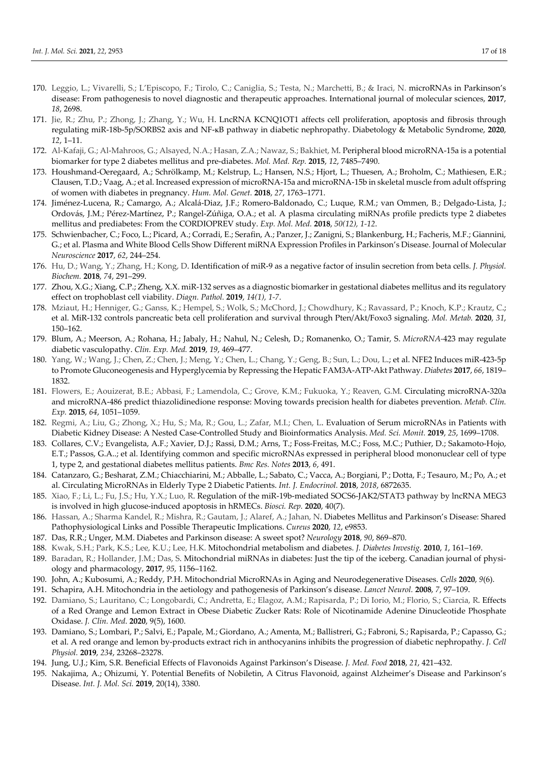- 170. Leggio, L.; Vivarelli, S.; L'Episcopo, F.; Tirolo, C.; Caniglia, S.; Testa, N.; Marchetti, B.; & Iraci, N. microRNAs in Parkinson's disease: From pathogenesis to novel diagnostic and therapeutic approaches. International journal of molecular sciences, **2017**, *18*, 2698.
- 171. Jie, R.; Zhu, P.; Zhong, J.; Zhang, Y.; Wu, H. LncRNA KCNQ1OT1 affects cell proliferation, apoptosis and fibrosis through regulating miR-18b-5p/SORBS2 axis and NF-ĸB pathway in diabetic nephropathy. Diabetology & Metabolic Syndrome, **2020**, *12*, 1–11.
- 172. Al-Kafaji, G.; Al-Mahroos, G.; Alsayed, N.A.; Hasan, Z.A.; Nawaz, S.; Bakhiet, M. Peripheral blood microRNA-15a is a potential biomarker for type 2 diabetes mellitus and pre-diabetes. *Mol. Med. Rep.* **2015**, *12*, 7485–7490.
- 173. Houshmand-Oeregaard, A.; Schrölkamp, M.; Kelstrup, L.; Hansen, N.S.; Hjort, L.; Thuesen, A.; Broholm, C.; Mathiesen, E.R.; Clausen, T.D.; Vaag, A.; et al. Increased expression of microRNA-15a and microRNA-15b in skeletal muscle from adult offspring of women with diabetes in pregnancy. *Hum. Mol. Genet.* **2018**, *27*, 1763–1771.
- 174. Jiménez-Lucena, R.; Camargo, A.; Alcalá-Diaz, J.F.; Romero-Baldonado, C.; Luque, R.M.; van Ommen, B.; Delgado-Lista, J.; Ordovás, J.M.; Pérez-Martínez, P.; Rangel-Zúñiga, O.A.; et al. A plasma circulating miRNAs profile predicts type 2 diabetes mellitus and prediabetes: From the CORDIOPREV study. *Exp. Mol. Med.* **2018**, *50(12), 1-12*.
- 175. Schwienbacher, C.; Foco, L.; Picard, A.; Corradi, E.; Serafin, A.; Panzer, J.; Zanigni, S.; Blankenburg, H.; Facheris, M.F.; Giannini, G.; et al. Plasma and White Blood Cells Show Different miRNA Expression Profiles in Parkinson's Disease. Journal of Molecular *Neuroscience* **2017**, *62*, 244–254.
- 176. Hu, D.; Wang, Y.; Zhang, H.; Kong, D. Identification of miR-9 as a negative factor of insulin secretion from beta cells. *J. Physiol. Biochem.* **2018**, *74*, 291–299.
- 177. Zhou, X.G.; Xiang, C.P.; Zheng, X.X. miR-132 serves as a diagnostic biomarker in gestational diabetes mellitus and its regulatory effect on trophoblast cell viability. *Diagn. Pathol.* **2019**, *14(1), 1-7*.
- 178. Mziaut, H.; Henniger, G.; Ganss, K.; Hempel, S.; Wolk, S.; McChord, J.; Chowdhury, K.; Ravassard, P.; Knoch, K.P.; Krautz, C.; et al. MiR-132 controls pancreatic beta cell proliferation and survival through Pten/Akt/Foxo3 signaling. *Mol. Metab.* **2020**, *31*, 150–162.
- 179. Blum, A.; Meerson, A.; Rohana, H.; Jabaly, H.; Nahul, N.; Celesh, D.; Romanenko, O.; Tamir, S. *MicroRNA-*423 may regulate diabetic vasculopathy. *Clin. Exp. Med.* **2019**, *19*, 469–477.
- 180. Yang, W.; Wang, J.; Chen, Z.; Chen, J.; Meng, Y.; Chen, L.; Chang, Y.; Geng, B.; Sun, L.; Dou, L.; et al. NFE2 Induces miR-423-5p to Promote Gluconeogenesis and Hyperglycemia by Repressing the Hepatic FAM3A-ATP-Akt Pathway. *Diabetes* **2017**, *66*, 1819– 1832.
- 181. Flowers, E.; Aouizerat, B.E.; Abbasi, F.; Lamendola, C.; Grove, K.M.; Fukuoka, Y.; Reaven, G.M. Circulating microRNA-320a and microRNA-486 predict thiazolidinedione response: Moving towards precision health for diabetes prevention. *Metab. Clin. Exp.* **2015**, *64*, 1051–1059.
- 182. Regmi, A.; Liu, G.; Zhong, X.; Hu, S.; Ma, R.; Gou, L.; Zafar, M.I.; Chen, L. Evaluation of Serum microRNAs in Patients with Diabetic Kidney Disease: A Nested Case-Controlled Study and Bioinformatics Analysis. *Med. Sci. Monit.* **2019**, *25*, 1699–1708.
- 183. Collares, C.V.; Evangelista, A.F.; Xavier, D.J.; Rassi, D.M.; Arns, T.; Foss-Freitas, M.C.; Foss, M.C.; Puthier, D.; Sakamoto-Hojo, E.T.; Passos, G.A..; et al. Identifying common and specific microRNAs expressed in peripheral blood mononuclear cell of type 1, type 2, and gestational diabetes mellitus patients. *Bmc Res. Notes* **2013**, *6*, 491.
- 184. Catanzaro, G.; Besharat, Z.M.; Chiacchiarini, M.; Abballe, L.; Sabato, C.; Vacca, A.; Borgiani, P.; Dotta, F.; Tesauro, M.; Po, A.; et al. Circulating MicroRNAs in Elderly Type 2 Diabetic Patients. *Int. J. Endocrinol.* **2018**, *2018*, 6872635.
- 185. Xiao, F.; Li, L.; Fu, J.S.; Hu, Y.X.; Luo, R. Regulation of the miR-19b-mediated SOCS6-JAK2/STAT3 pathway by lncRNA MEG3 is involved in high glucose-induced apoptosis in hRMECs. *Biosci. Rep.* **2020**, 40(7).
- 186. Hassan, A.; Sharma Kandel, R.; Mishra, R.; Gautam, J.; Alaref, A.; Jahan, N. Diabetes Mellitus and Parkinson's Disease: Shared Pathophysiological Links and Possible Therapeutic Implications. *Cureus* **2020**, *12*, e9853.
- 187. Das, R.R.; Unger, M.M. Diabetes and Parkinson disease: A sweet spot? *Neurology* **2018**, *90*, 869–870.
- 188. Kwak, S.H.; Park, K.S.; Lee, K.U.; Lee, H.K. Mitochondrial metabolism and diabetes. *J. Diabetes Investig.* **2010**, *1*, 161–169.
- 189. Baradan, R.; Hollander, J.M.; Das, S. Mitochondrial miRNAs in diabetes: Just the tip of the iceberg. Canadian journal of physiology and pharmacology*,* **2017**, *95*, 1156–1162.
- 190. John, A.; Kubosumi, A.; Reddy, P.H. Mitochondrial MicroRNAs in Aging and Neurodegenerative Diseases. *Cells* **2020**, *9*(6).
- 191. Schapira, A.H. Mitochondria in the aetiology and pathogenesis of Parkinson's disease. *Lancet Neurol.* **2008**, *7*, 97–109.
- 192. Damiano, S.; Lauritano, C.; Longobardi, C.; Andretta, E.; Elagoz, A.M.; Rapisarda, P.; Di Iorio, M.; Florio, S.; Ciarcia, R. Effects of a Red Orange and Lemon Extract in Obese Diabetic Zucker Rats: Role of Nicotinamide Adenine Dinucleotide Phosphate Oxidase. *J. Clin. Med*. **2020**, 9(5), 1600.
- 193. Damiano, S.; Lombari, P.; Salvi, E.; Papale, M.; Giordano, A.; Amenta, M.; Ballistreri, G.; Fabroni, S.; Rapisarda, P.; Capasso, G.; et al. A red orange and lemon by-products extract rich in anthocyanins inhibits the progression of diabetic nephropathy. *J. Cell Physiol.* **2019**, *234*, 23268–23278.
- 194. Jung, U.J.; Kim, S.R. Beneficial Effects of Flavonoids Against Parkinson's Disease. *J. Med. Food* **2018**, *21*, 421–432.
- 195. Nakajima, A.; Ohizumi, Y. Potential Benefits of Nobiletin, A Citrus Flavonoid, against Alzheimer's Disease and Parkinson's Disease. *Int. J. Mol. Sci.* **2019**, 20(14), 3380.